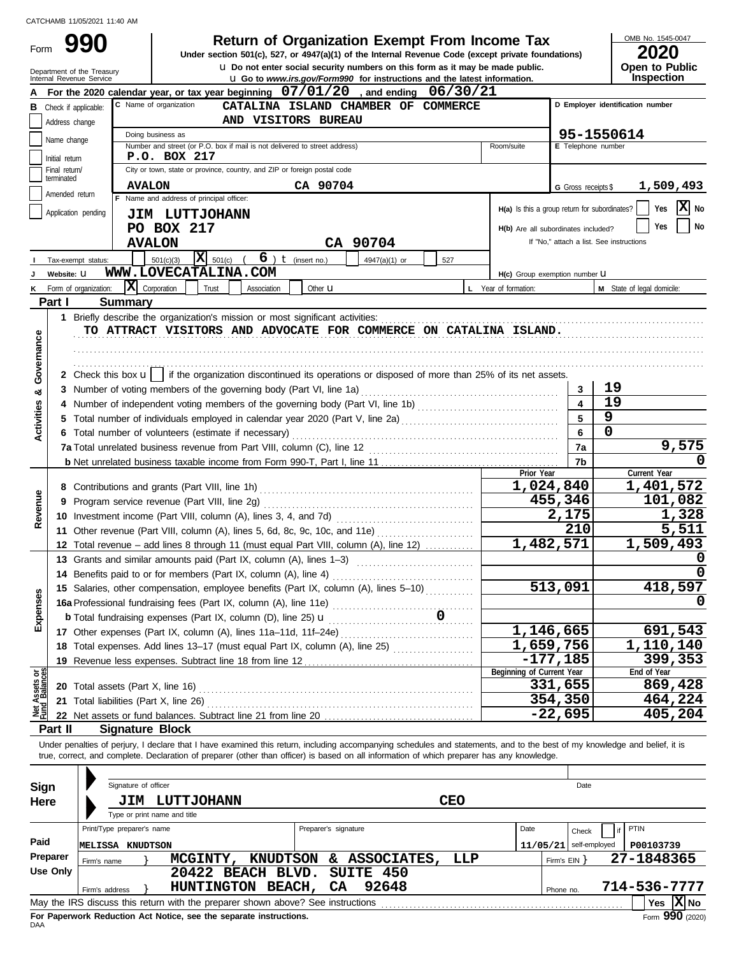Form 990

# **Return of Organization Exempt From Income Tax**

**u** Do not enter social security numbers on this form as it may be made public. **Under section 501(c), 527, or 4947(a)(1) of the Internal Revenue Code (except private foundations)** OMB No. 1545-0047

|  | LULU                  |
|--|-----------------------|
|  | <b>Open to Public</b> |
|  | <b>Inspection</b>     |

|                                | Internal Revenue Service      | Department of the Treasury               |                                                                                                                                                                            | <b>u</b> Do not enter social security numbers on this form as it may be made public.<br><b>u</b> Go to www.irs.gov/Form990 for instructions and the latest information. |            |                                               |                              | <b>Open to Public</b><br>Inspection      |  |  |  |
|--------------------------------|-------------------------------|------------------------------------------|----------------------------------------------------------------------------------------------------------------------------------------------------------------------------|-------------------------------------------------------------------------------------------------------------------------------------------------------------------------|------------|-----------------------------------------------|------------------------------|------------------------------------------|--|--|--|
|                                |                               |                                          | For the 2020 calendar year, or tax year beginning $07/01/20$ , and ending $06/30/21$                                                                                       |                                                                                                                                                                         |            |                                               |                              |                                          |  |  |  |
|                                | <b>B</b> Check if applicable: |                                          | C Name of organization                                                                                                                                                     | CATALINA ISLAND CHAMBER OF COMMERCE                                                                                                                                     |            |                                               |                              | D Employer identification number         |  |  |  |
|                                | Address change                | AND VISITORS BUREAU                      |                                                                                                                                                                            |                                                                                                                                                                         |            |                                               |                              |                                          |  |  |  |
|                                |                               |                                          | Doing business as                                                                                                                                                          |                                                                                                                                                                         |            |                                               |                              | 95-1550614                               |  |  |  |
|                                | Name change                   |                                          | Number and street (or P.O. box if mail is not delivered to street address)                                                                                                 |                                                                                                                                                                         |            | Room/suite                                    | E Telephone number           |                                          |  |  |  |
|                                | Initial return                |                                          | P.O. BOX 217                                                                                                                                                               |                                                                                                                                                                         |            |                                               |                              |                                          |  |  |  |
|                                | Final return/<br>terminated   |                                          | City or town, state or province, country, and ZIP or foreign postal code                                                                                                   |                                                                                                                                                                         |            |                                               |                              |                                          |  |  |  |
|                                | Amended return                |                                          | <b>AVALON</b>                                                                                                                                                              | CA 90704                                                                                                                                                                |            |                                               | G Gross receipts \$          | 1,509,493                                |  |  |  |
|                                |                               |                                          | F Name and address of principal officer:                                                                                                                                   |                                                                                                                                                                         |            | H(a) Is this a group return for subordinates? |                              | $ \mathbf{X} $ No<br>Yes                 |  |  |  |
|                                | Application pending           |                                          | JIM LUTTJOHANN                                                                                                                                                             |                                                                                                                                                                         |            |                                               |                              |                                          |  |  |  |
|                                |                               |                                          | <b>PO BOX 217</b>                                                                                                                                                          |                                                                                                                                                                         |            | H(b) Are all subordinates included?           |                              | No<br>Yes                                |  |  |  |
|                                |                               |                                          | <b>AVALON</b>                                                                                                                                                              | CA 90704                                                                                                                                                                |            |                                               |                              | If "No," attach a list. See instructions |  |  |  |
|                                | Tax-exempt status:            |                                          | $\overline{\mathbf{X}}$ 501(c)<br>501(c)(3)                                                                                                                                | $6$ ) $t$ (insert no.)<br>4947(a)(1) or                                                                                                                                 | 527        |                                               |                              |                                          |  |  |  |
|                                | Website: U                    |                                          | WWW.LOVECATALINA.COM                                                                                                                                                       |                                                                                                                                                                         |            | H(c) Group exemption number U                 |                              |                                          |  |  |  |
|                                | Form of organization:         |                                          | $\overline{\mathbf{X}}$ Corporation<br>Trust<br>Association                                                                                                                | Other $\mathbf u$                                                                                                                                                       |            | L Year of formation:                          |                              | M State of legal domicile:               |  |  |  |
|                                | Part I                        | <b>Summary</b>                           |                                                                                                                                                                            |                                                                                                                                                                         |            |                                               |                              |                                          |  |  |  |
|                                |                               |                                          |                                                                                                                                                                            |                                                                                                                                                                         |            |                                               |                              |                                          |  |  |  |
|                                |                               |                                          | TO ATTRACT VISITORS AND ADVOCATE FOR COMMERCE ON CATALINA ISLAND.                                                                                                          |                                                                                                                                                                         |            |                                               |                              |                                          |  |  |  |
| Governance                     |                               |                                          |                                                                                                                                                                            |                                                                                                                                                                         |            |                                               |                              |                                          |  |  |  |
|                                |                               |                                          |                                                                                                                                                                            |                                                                                                                                                                         |            |                                               |                              |                                          |  |  |  |
|                                |                               |                                          | 2 Check this box $\mathbf{u}$   if the organization discontinued its operations or disposed of more than 25% of its net assets.                                            |                                                                                                                                                                         |            |                                               |                              | 19                                       |  |  |  |
| න්                             |                               |                                          | 3 Number of voting members of the governing body (Part VI, line 1a)                                                                                                        |                                                                                                                                                                         |            |                                               | 3<br>$\overline{\mathbf{4}}$ | $\overline{19}$                          |  |  |  |
|                                |                               |                                          |                                                                                                                                                                            |                                                                                                                                                                         |            |                                               | 5                            | $\overline{9}$                           |  |  |  |
| Activities                     |                               |                                          | 6 Total number of volunteers (estimate if necessary)                                                                                                                       |                                                                                                                                                                         |            |                                               | 6                            | 0                                        |  |  |  |
|                                |                               |                                          |                                                                                                                                                                            |                                                                                                                                                                         |            |                                               | 7a                           | 9,575                                    |  |  |  |
|                                |                               |                                          |                                                                                                                                                                            |                                                                                                                                                                         |            |                                               | 7b                           |                                          |  |  |  |
|                                |                               |                                          |                                                                                                                                                                            |                                                                                                                                                                         |            | Prior Year                                    |                              | Current Year                             |  |  |  |
|                                |                               |                                          |                                                                                                                                                                            |                                                                                                                                                                         |            |                                               | 1,024,840                    | 1,401,572                                |  |  |  |
| Revenue                        |                               |                                          |                                                                                                                                                                            |                                                                                                                                                                         |            |                                               | 455,346                      | 101,082                                  |  |  |  |
|                                |                               |                                          |                                                                                                                                                                            |                                                                                                                                                                         |            |                                               |                              | 1,328                                    |  |  |  |
|                                |                               |                                          | 11 Other revenue (Part VIII, column (A), lines 5, 6d, 8c, 9c, 10c, and 11e)                                                                                                |                                                                                                                                                                         |            |                                               | 210                          | 5,511                                    |  |  |  |
|                                |                               |                                          | 12 Total revenue - add lines 8 through 11 (must equal Part VIII, column (A), line 12)                                                                                      |                                                                                                                                                                         |            |                                               | 1,482,571                    | 1,509,493                                |  |  |  |
|                                |                               |                                          | 13 Grants and similar amounts paid (Part IX, column (A), lines 1-3)                                                                                                        |                                                                                                                                                                         |            |                                               |                              |                                          |  |  |  |
|                                |                               |                                          | 14 Benefits paid to or for members (Part IX, column (A), line 4)                                                                                                           |                                                                                                                                                                         |            |                                               |                              |                                          |  |  |  |
|                                |                               |                                          | 15 Salaries, other compensation, employee benefits (Part IX, column (A), lines 5-10)                                                                                       |                                                                                                                                                                         |            |                                               | 513,091                      | 418,597                                  |  |  |  |
| ses                            |                               |                                          | 16a Professional fundraising fees (Part IX, column (A), line 11e)                                                                                                          |                                                                                                                                                                         |            |                                               |                              |                                          |  |  |  |
| Expen                          |                               |                                          | <b>b</b> Total fundraising expenses (Part IX, column (D), line 25) $\mathbf{u}$ (Other expenses (Part IX, actionary (A), III (D), line 25) $\mathbf{u}$                    |                                                                                                                                                                         |            |                                               |                              |                                          |  |  |  |
|                                |                               |                                          |                                                                                                                                                                            |                                                                                                                                                                         |            | 1,146,665                                     | 691,543                      |                                          |  |  |  |
|                                |                               |                                          | 18 Total expenses. Add lines 13-17 (must equal Part IX, column (A), line 25)                                                                                               |                                                                                                                                                                         |            |                                               | 1,659,756                    | 1,110,140                                |  |  |  |
|                                |                               |                                          |                                                                                                                                                                            |                                                                                                                                                                         |            |                                               | $-177,185$                   | 399, 353                                 |  |  |  |
| Net Assets or<br>Fund Balances |                               |                                          |                                                                                                                                                                            |                                                                                                                                                                         |            | Beginning of Current Year                     | 331,655                      | End of Year<br>869,428                   |  |  |  |
|                                |                               | <b>20</b> Total assets (Part X, line 16) |                                                                                                                                                                            |                                                                                                                                                                         |            | 354,350                                       | 464,224                      |                                          |  |  |  |
|                                |                               | 21 Total liabilities (Part X, line 26)   |                                                                                                                                                                            | $-22,695$                                                                                                                                                               | 405, 204   |                                               |                              |                                          |  |  |  |
|                                | Part II                       |                                          | <b>Signature Block</b>                                                                                                                                                     |                                                                                                                                                                         |            |                                               |                              |                                          |  |  |  |
|                                |                               |                                          | Under penalties of perjury, I declare that I have examined this return, including accompanying schedules and statements, and to the best of my knowledge and belief, it is |                                                                                                                                                                         |            |                                               |                              |                                          |  |  |  |
|                                |                               |                                          | true, correct, and complete. Declaration of preparer (other than officer) is based on all information of which preparer has any knowledge.                                 |                                                                                                                                                                         |            |                                               |                              |                                          |  |  |  |
|                                |                               |                                          |                                                                                                                                                                            |                                                                                                                                                                         |            |                                               |                              |                                          |  |  |  |
| Sign                           |                               | Signature of officer                     |                                                                                                                                                                            |                                                                                                                                                                         |            |                                               | Date                         |                                          |  |  |  |
| Here                           |                               |                                          | JIM LUTTJOHANN                                                                                                                                                             |                                                                                                                                                                         | <b>CEO</b> |                                               |                              |                                          |  |  |  |
|                                |                               |                                          | Type or print name and title                                                                                                                                               |                                                                                                                                                                         |            |                                               |                              |                                          |  |  |  |
|                                |                               | Print/Type preparer's name               |                                                                                                                                                                            | Preparer's signature                                                                                                                                                    |            | Date                                          | Check                        | PTIN<br>if                               |  |  |  |
| Paid                           |                               | <b>MELISSA KNUDTSON</b>                  |                                                                                                                                                                            |                                                                                                                                                                         |            |                                               | $11/05/21$ self-employed     | P00103739                                |  |  |  |
|                                | Preparer                      | Firm's name                              |                                                                                                                                                                            | MCGINTY, KNUDTSON & ASSOCIATES,                                                                                                                                         | LLP        |                                               | Firm's $EIN$ }               | 27-1848365                               |  |  |  |
|                                | Use Only                      |                                          | 20422 BEACH BLVD.                                                                                                                                                          | SUITE 450                                                                                                                                                               |            |                                               |                              |                                          |  |  |  |
|                                |                               | Firm's address                           | HUNTINGTON BEACH,                                                                                                                                                          | 92648<br>CA                                                                                                                                                             |            |                                               | Phone no.                    | 714-536-7777                             |  |  |  |
|                                |                               |                                          | May the IRS discuss this return with the preparer shown above? See instructions                                                                                            |                                                                                                                                                                         |            |                                               |                              | Yes $ X $ No                             |  |  |  |

| Sign     |                | Signature of officer       |          |                                                                                 |             |                      |     |             |            |      |              | Date                     |              |                             |
|----------|----------------|----------------------------|----------|---------------------------------------------------------------------------------|-------------|----------------------|-----|-------------|------------|------|--------------|--------------------------|--------------|-----------------------------|
| Here     |                | JIM                        |          | LUTTJOHANN                                                                      |             |                      |     |             | <b>CEO</b> |      |              |                          |              |                             |
|          |                |                            |          | Type or print name and title                                                    |             |                      |     |             |            |      |              |                          |              |                             |
|          |                | Print/Type preparer's name |          |                                                                                 |             | Preparer's signature |     |             |            | Date |              | Check                    | PTIN         |                             |
| Paid     | <b>MELISSA</b> |                            | KNUDTSON |                                                                                 |             |                      |     |             |            |      |              | $11/05/21$ self-employed | P00103739    |                             |
| Preparer |                | Firm's name                |          | MCGINTY,                                                                        | KNUDTSON    |                      | &.  | ASSOCIATES, | LLP        |      | Firm's EIN Y |                          | 27-1848365   |                             |
| Use Only |                |                            |          | 20422                                                                           | BEACH BLVD. |                      |     | SUITE 450   |            |      |              |                          |              |                             |
|          |                | Firm's address             |          | HUNTINGTON                                                                      | BEACH,      |                      | CA. | 92648       |            |      | Phone no.    |                          | 714-536-7777 |                             |
|          |                |                            |          | May the IRS discuss this return with the preparer shown above? See instructions |             |                      |     |             |            |      |              |                          | Yes          | $ X $ No                    |
|          |                |                            |          | For Paperwork Reduction Act Notice, see the separate instructions.              |             |                      |     |             |            |      |              |                          |              | $F_{\text{OCD}}$ 990 (2020) |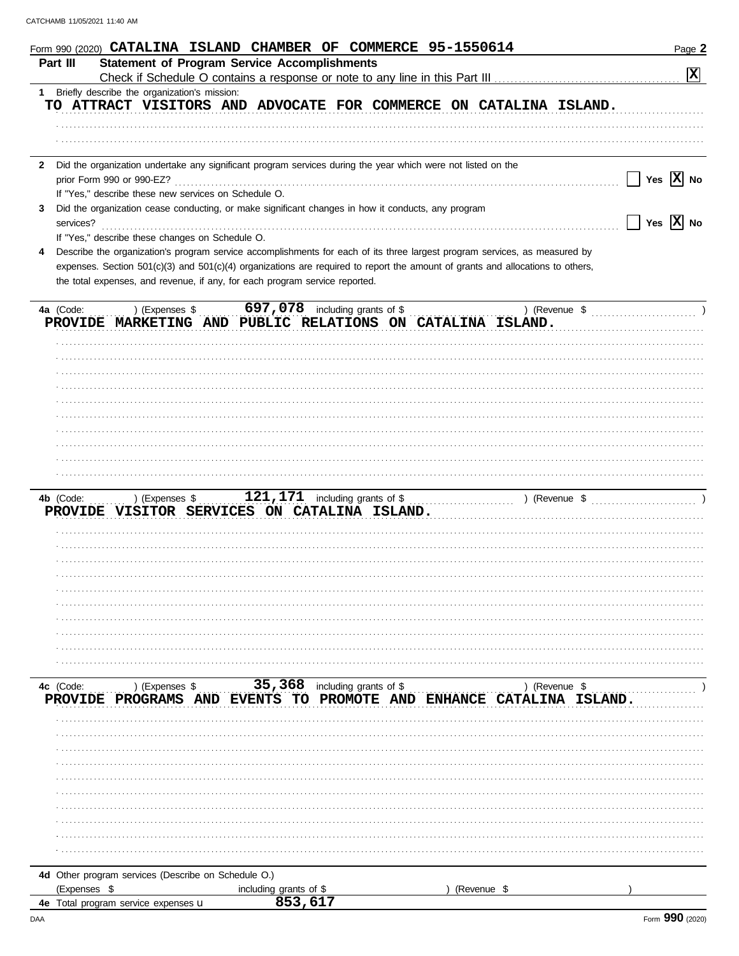|              | $Form$ 990 (2020) CATALINA ISLAND CHAMBER OF COMMERCE 95-1550614                                                                                                                                              | Page 2                |
|--------------|---------------------------------------------------------------------------------------------------------------------------------------------------------------------------------------------------------------|-----------------------|
|              | <b>Statement of Program Service Accomplishments</b><br>Part III                                                                                                                                               |                       |
|              |                                                                                                                                                                                                               | $\boxed{\mathbf{X}}$  |
| 1            | Briefly describe the organization's mission:                                                                                                                                                                  |                       |
|              | TO ATTRACT VISITORS AND ADVOCATE FOR COMMERCE ON CATALINA ISLAND.                                                                                                                                             |                       |
|              |                                                                                                                                                                                                               |                       |
|              |                                                                                                                                                                                                               |                       |
| $\mathbf{2}$ | Did the organization undertake any significant program services during the year which were not listed on the                                                                                                  |                       |
|              | prior Form 990 or 990-EZ?                                                                                                                                                                                     | Yes $\overline{X}$ No |
|              | If "Yes," describe these new services on Schedule O.                                                                                                                                                          |                       |
| 3            | Did the organization cease conducting, or make significant changes in how it conducts, any program                                                                                                            |                       |
|              | services?                                                                                                                                                                                                     | Yes $\overline{X}$ No |
|              | If "Yes," describe these changes on Schedule O.                                                                                                                                                               |                       |
| 4            | Describe the organization's program service accomplishments for each of its three largest program services, as measured by                                                                                    |                       |
|              | expenses. Section 501(c)(3) and 501(c)(4) organizations are required to report the amount of grants and allocations to others,<br>the total expenses, and revenue, if any, for each program service reported. |                       |
|              |                                                                                                                                                                                                               |                       |
|              | 697,078 including grants of \$<br>4a (Code:<br>) (Expenses \$<br>) (Revenue \$                                                                                                                                |                       |
|              | PROVIDE MARKETING AND PUBLIC RELATIONS ON CATALINA ISLAND.                                                                                                                                                    |                       |
|              |                                                                                                                                                                                                               |                       |
|              |                                                                                                                                                                                                               |                       |
|              |                                                                                                                                                                                                               |                       |
|              |                                                                                                                                                                                                               |                       |
|              |                                                                                                                                                                                                               |                       |
|              |                                                                                                                                                                                                               |                       |
|              |                                                                                                                                                                                                               |                       |
|              |                                                                                                                                                                                                               |                       |
|              |                                                                                                                                                                                                               |                       |
|              |                                                                                                                                                                                                               |                       |
|              | 121, 171 including grants of \$<br>4b (Code:<br>) (Expenses \$<br>) (Revenue $\frac{1}{2}$ (Revenue $\frac{1}{2}$ (Revenue $\frac{1}{2}$ )                                                                    |                       |
|              | PROVIDE VISITOR SERVICES ON CATALINA ISLAND.                                                                                                                                                                  |                       |
|              |                                                                                                                                                                                                               |                       |
|              |                                                                                                                                                                                                               |                       |
|              |                                                                                                                                                                                                               |                       |
|              |                                                                                                                                                                                                               |                       |
|              |                                                                                                                                                                                                               |                       |
|              |                                                                                                                                                                                                               |                       |
|              |                                                                                                                                                                                                               |                       |
|              |                                                                                                                                                                                                               |                       |
|              |                                                                                                                                                                                                               |                       |
|              |                                                                                                                                                                                                               |                       |
|              | 35,368 including grants of \$<br>4c (Code:<br>) (Expenses \$<br>) (Revenue \$                                                                                                                                 |                       |
|              | PROMOTE AND<br>PROGRAMS AND EVENTS<br>ENHANCE CATALINA ISLAND.<br><b>PROVIDE</b><br>TO                                                                                                                        |                       |
|              |                                                                                                                                                                                                               |                       |
|              |                                                                                                                                                                                                               |                       |
|              |                                                                                                                                                                                                               |                       |
|              |                                                                                                                                                                                                               |                       |
|              |                                                                                                                                                                                                               |                       |
|              |                                                                                                                                                                                                               |                       |
|              |                                                                                                                                                                                                               |                       |
|              |                                                                                                                                                                                                               |                       |
|              |                                                                                                                                                                                                               |                       |
|              |                                                                                                                                                                                                               |                       |
|              | 4d Other program services (Describe on Schedule O.)                                                                                                                                                           |                       |
|              | (Expenses \$<br>including grants of \$<br>(Revenue \$<br>853.617                                                                                                                                              |                       |
|              | 4e Total program service expenses u                                                                                                                                                                           |                       |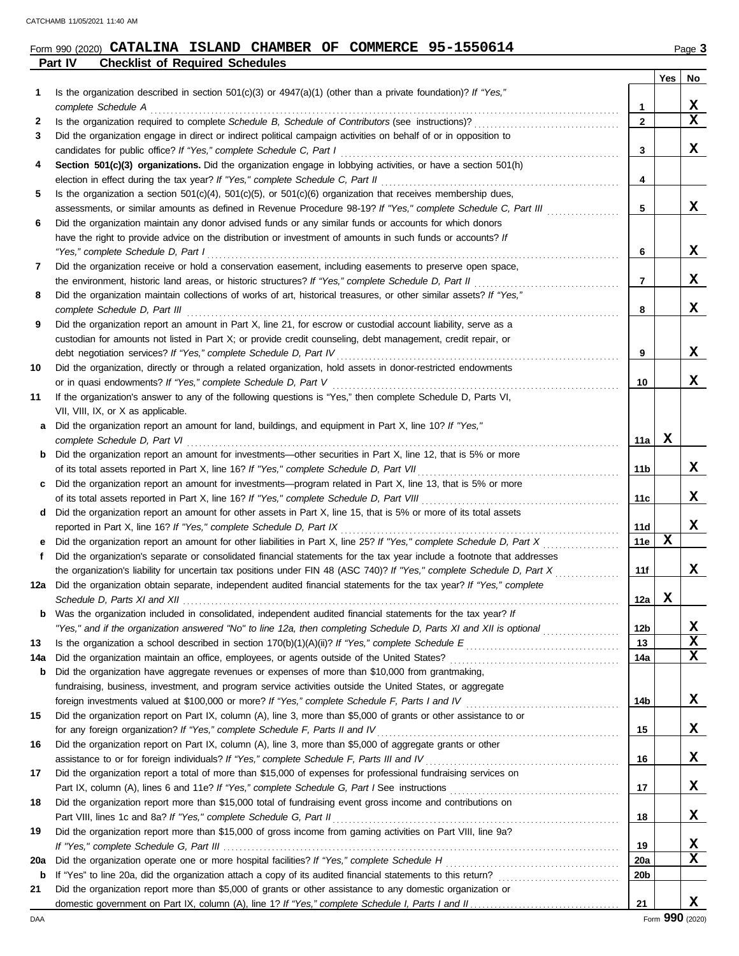### **Part IV Checklist of Required Schedules Form 990 (2020) CATALINA ISLAND CHAMBER OF COMMERCE 95-1550614** Page 3

|     |                                                                                                                                                                                                          |                 | Yes | No |
|-----|----------------------------------------------------------------------------------------------------------------------------------------------------------------------------------------------------------|-----------------|-----|----|
| 1   | Is the organization described in section $501(c)(3)$ or $4947(a)(1)$ (other than a private foundation)? If "Yes,"<br>complete Schedule A                                                                 | $\mathbf 1$     |     | X  |
| 2   |                                                                                                                                                                                                          | $\mathbf{2}$    |     | X  |
| 3   | Did the organization engage in direct or indirect political campaign activities on behalf of or in opposition to                                                                                         |                 |     |    |
|     | candidates for public office? If "Yes," complete Schedule C, Part I                                                                                                                                      | 3               |     | x  |
| 4   | Section 501(c)(3) organizations. Did the organization engage in lobbying activities, or have a section 501(h)                                                                                            |                 |     |    |
| 5   | election in effect during the tax year? If "Yes," complete Schedule C, Part II<br>Is the organization a section $501(c)(4)$ , $501(c)(5)$ , or $501(c)(6)$ organization that receives membership dues,   | 4               |     |    |
|     |                                                                                                                                                                                                          | 5               |     | x  |
| 6   | Did the organization maintain any donor advised funds or any similar funds or accounts for which donors                                                                                                  |                 |     |    |
|     | have the right to provide advice on the distribution or investment of amounts in such funds or accounts? If                                                                                              |                 |     |    |
|     | "Yes," complete Schedule D, Part I                                                                                                                                                                       | 6               |     | x  |
| 7   | Did the organization receive or hold a conservation easement, including easements to preserve open space,                                                                                                |                 |     |    |
|     | the environment, historic land areas, or historic structures? If "Yes," complete Schedule D, Part II                                                                                                     | 7               |     | x  |
| 8   | Did the organization maintain collections of works of art, historical treasures, or other similar assets? If "Yes,"                                                                                      |                 |     |    |
|     | complete Schedule D, Part III                                                                                                                                                                            | 8               |     | x  |
| 9   | Did the organization report an amount in Part X, line 21, for escrow or custodial account liability, serve as a                                                                                          |                 |     |    |
|     | custodian for amounts not listed in Part X; or provide credit counseling, debt management, credit repair, or                                                                                             |                 |     |    |
|     | debt negotiation services? If "Yes," complete Schedule D, Part IV                                                                                                                                        | 9               |     | x  |
| 10  | Did the organization, directly or through a related organization, hold assets in donor-restricted endowments                                                                                             |                 |     |    |
|     | or in quasi endowments? If "Yes," complete Schedule D, Part V                                                                                                                                            | 10              |     | x  |
| 11  | If the organization's answer to any of the following questions is "Yes," then complete Schedule D, Parts VI,                                                                                             |                 |     |    |
|     | VII, VIII, IX, or X as applicable.                                                                                                                                                                       |                 |     |    |
| а   | Did the organization report an amount for land, buildings, and equipment in Part X, line 10? If "Yes,"                                                                                                   |                 |     |    |
|     | complete Schedule D, Part VI                                                                                                                                                                             | 11a             | х   |    |
| b   | Did the organization report an amount for investments—other securities in Part X, line 12, that is 5% or more                                                                                            | 11b             |     | x  |
| c   | of its total assets reported in Part X, line 16? If "Yes," complete Schedule D, Part VII<br>Did the organization report an amount for investments—program related in Part X, line 13, that is 5% or more |                 |     |    |
|     | of its total assets reported in Part X, line 16? If "Yes," complete Schedule D, Part VIII                                                                                                                | 11c             |     | x  |
| d   | Did the organization report an amount for other assets in Part X, line 15, that is 5% or more of its total assets                                                                                        |                 |     |    |
|     | reported in Part X, line 16? If "Yes," complete Schedule D, Part IX                                                                                                                                      | 11d             |     | x  |
|     | Did the organization report an amount for other liabilities in Part X, line 25? If "Yes," complete Schedule D, Part X                                                                                    | 11e             | х   |    |
| f   | Did the organization's separate or consolidated financial statements for the tax year include a footnote that addresses                                                                                  |                 |     |    |
|     | the organization's liability for uncertain tax positions under FIN 48 (ASC 740)? If "Yes," complete Schedule D, Part X                                                                                   | 11f             |     | x  |
| 12a | Did the organization obtain separate, independent audited financial statements for the tax year? If "Yes," complete                                                                                      | 12a             | X   |    |
|     | <b>b</b> Was the organization included in consolidated, independent audited financial statements for the tax year? If                                                                                    |                 |     |    |
|     | "Yes," and if the organization answered "No" to line 12a, then completing Schedule D, Parts XI and XII is optional                                                                                       | 12 <sub>b</sub> |     | X  |
| 13  |                                                                                                                                                                                                          | 13              |     | x  |
| 14a |                                                                                                                                                                                                          | 14a             |     | X  |
| b   | Did the organization have aggregate revenues or expenses of more than \$10,000 from grantmaking,                                                                                                         |                 |     |    |
|     | fundraising, business, investment, and program service activities outside the United States, or aggregate                                                                                                |                 |     |    |
|     |                                                                                                                                                                                                          | 14b             |     | X, |
| 15  | Did the organization report on Part IX, column (A), line 3, more than \$5,000 of grants or other assistance to or                                                                                        |                 |     |    |
|     | for any foreign organization? If "Yes," complete Schedule F, Parts II and IV [[[[[[[[[[[[[[[[[[[[[[[[[[[[[[[[                                                                                            | 15              |     | X, |
| 16  | Did the organization report on Part IX, column (A), line 3, more than \$5,000 of aggregate grants or other                                                                                               |                 |     | X  |
| 17  | Did the organization report a total of more than \$15,000 of expenses for professional fundraising services on                                                                                           | 16              |     |    |
|     |                                                                                                                                                                                                          | 17              |     | x  |
| 18  | Did the organization report more than \$15,000 total of fundraising event gross income and contributions on                                                                                              |                 |     |    |
|     |                                                                                                                                                                                                          | 18              |     | x  |
| 19  | Did the organization report more than \$15,000 of gross income from gaming activities on Part VIII, line 9a?                                                                                             |                 |     |    |
|     |                                                                                                                                                                                                          | 19              |     | x  |
| 20a |                                                                                                                                                                                                          | 20a             |     | x  |
| b   |                                                                                                                                                                                                          | 20 <sub>b</sub> |     |    |
| 21  | Did the organization report more than \$5,000 of grants or other assistance to any domestic organization or                                                                                              |                 |     |    |
|     |                                                                                                                                                                                                          | 21              |     | x  |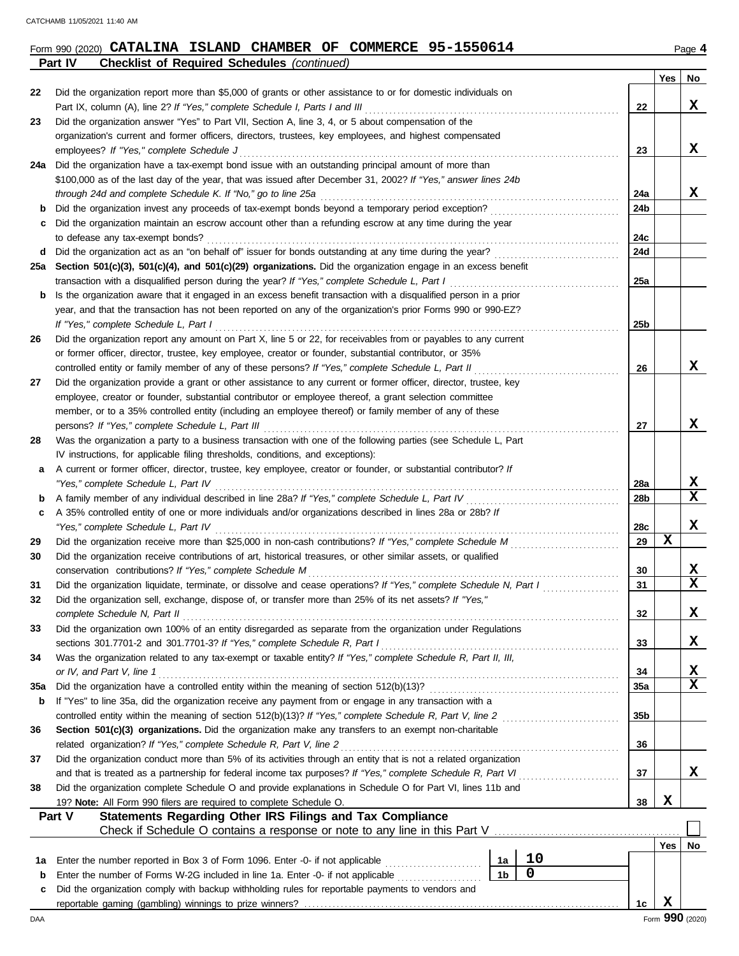### **Form 990 (2020) CATALINA ISLAND CHAMBER OF COMMERCE 95-1550614** Page 4 **Part IV Checklist of Required Schedules** *(continued)*

|          |                                                                                                                                                                                                                      |                 | <b>Yes</b> | No.    |  |  |  |
|----------|----------------------------------------------------------------------------------------------------------------------------------------------------------------------------------------------------------------------|-----------------|------------|--------|--|--|--|
| 22       | Did the organization report more than \$5,000 of grants or other assistance to or for domestic individuals on                                                                                                        |                 |            |        |  |  |  |
|          | Part IX, column (A), line 2? If "Yes," complete Schedule I, Parts I and III                                                                                                                                          | 22              |            | x      |  |  |  |
| 23       | Did the organization answer "Yes" to Part VII, Section A, line 3, 4, or 5 about compensation of the                                                                                                                  |                 |            |        |  |  |  |
|          | organization's current and former officers, directors, trustees, key employees, and highest compensated                                                                                                              |                 |            |        |  |  |  |
|          | employees? If "Yes," complete Schedule J                                                                                                                                                                             | 23              |            | x      |  |  |  |
| 24a      | Did the organization have a tax-exempt bond issue with an outstanding principal amount of more than                                                                                                                  |                 |            |        |  |  |  |
|          | \$100,000 as of the last day of the year, that was issued after December 31, 2002? If "Yes," answer lines 24b                                                                                                        |                 |            |        |  |  |  |
|          | through 24d and complete Schedule K. If "No," go to line 25a                                                                                                                                                         | 24a             |            | x      |  |  |  |
| b        | Did the organization invest any proceeds of tax-exempt bonds beyond a temporary period exception?                                                                                                                    | 24 <sub>b</sub> |            |        |  |  |  |
|          | Did the organization maintain an escrow account other than a refunding escrow at any time during the year                                                                                                            | 24c             |            |        |  |  |  |
|          | to defease any tax-exempt bonds?<br>Did the organization act as an "on behalf of" issuer for bonds outstanding at any time during the year?                                                                          | 24d             |            |        |  |  |  |
| d<br>25a | Section 501(c)(3), 501(c)(4), and 501(c)(29) organizations. Did the organization engage in an excess benefit                                                                                                         |                 |            |        |  |  |  |
|          | transaction with a disqualified person during the year? If "Yes," complete Schedule L, Part I                                                                                                                        | 25a             |            |        |  |  |  |
| b        | Is the organization aware that it engaged in an excess benefit transaction with a disqualified person in a prior                                                                                                     |                 |            |        |  |  |  |
|          | year, and that the transaction has not been reported on any of the organization's prior Forms 990 or 990-EZ?                                                                                                         |                 |            |        |  |  |  |
|          | If "Yes," complete Schedule L, Part I                                                                                                                                                                                |                 |            |        |  |  |  |
| 26       | Did the organization report any amount on Part X, line 5 or 22, for receivables from or payables to any current                                                                                                      | 25b             |            |        |  |  |  |
|          | or former officer, director, trustee, key employee, creator or founder, substantial contributor, or 35%                                                                                                              |                 |            |        |  |  |  |
|          | controlled entity or family member of any of these persons? If "Yes," complete Schedule L, Part II                                                                                                                   | 26              |            | x      |  |  |  |
| 27       | Did the organization provide a grant or other assistance to any current or former officer, director, trustee, key                                                                                                    |                 |            |        |  |  |  |
|          | employee, creator or founder, substantial contributor or employee thereof, a grant selection committee                                                                                                               |                 |            |        |  |  |  |
|          | member, or to a 35% controlled entity (including an employee thereof) or family member of any of these                                                                                                               |                 |            |        |  |  |  |
|          | persons? If "Yes," complete Schedule L, Part III                                                                                                                                                                     | 27              |            | x      |  |  |  |
| 28       | Was the organization a party to a business transaction with one of the following parties (see Schedule L, Part                                                                                                       |                 |            |        |  |  |  |
|          | IV instructions, for applicable filing thresholds, conditions, and exceptions):                                                                                                                                      |                 |            |        |  |  |  |
| а        | A current or former officer, director, trustee, key employee, creator or founder, or substantial contributor? If                                                                                                     |                 |            |        |  |  |  |
|          | "Yes," complete Schedule L, Part IV                                                                                                                                                                                  | 28a             |            | X      |  |  |  |
|          | A family member of any individual described in line 28a? If "Yes," complete Schedule L, Part IV                                                                                                                      | 28 <sub>b</sub> |            | x      |  |  |  |
| с        | A 35% controlled entity of one or more individuals and/or organizations described in lines 28a or 28b? If                                                                                                            |                 |            |        |  |  |  |
|          | "Yes," complete Schedule L, Part IV                                                                                                                                                                                  | 28c             |            | x      |  |  |  |
| 29       | Did the organization receive more than \$25,000 in non-cash contributions? If "Yes," complete Schedule M                                                                                                             | 29              | X          |        |  |  |  |
| 30       | Did the organization receive contributions of art, historical treasures, or other similar assets, or qualified                                                                                                       |                 |            |        |  |  |  |
|          | conservation contributions? If "Yes," complete Schedule M                                                                                                                                                            | 30              |            | X      |  |  |  |
| 31       | Did the organization liquidate, terminate, or dissolve and cease operations? If "Yes," complete Schedule N, Part I                                                                                                   | 31              |            | x      |  |  |  |
| 32       | Did the organization sell, exchange, dispose of, or transfer more than 25% of its net assets? If "Yes,"                                                                                                              |                 |            |        |  |  |  |
|          | complete Schedule N, Part II                                                                                                                                                                                         | 32              |            | A      |  |  |  |
| 33       | Did the organization own 100% of an entity disregarded as separate from the organization under Regulations                                                                                                           |                 |            |        |  |  |  |
|          | sections 301.7701-2 and 301.7701-3? If "Yes," complete Schedule R, Part I                                                                                                                                            | 33              |            | x      |  |  |  |
| 34       | Was the organization related to any tax-exempt or taxable entity? If "Yes," complete Schedule R, Part II, III,                                                                                                       |                 |            |        |  |  |  |
|          | or IV, and Part V, line 1                                                                                                                                                                                            | 34              |            | X<br>X |  |  |  |
| 35a      | Did the organization have a controlled entity within the meaning of section 512(b)(13)?                                                                                                                              | 35a             |            |        |  |  |  |
| b        | If "Yes" to line 35a, did the organization receive any payment from or engage in any transaction with a<br>controlled entity within the meaning of section 512(b)(13)? If "Yes," complete Schedule R, Part V, line 2 | 35 <sub>b</sub> |            |        |  |  |  |
| 36       | Section 501(c)(3) organizations. Did the organization make any transfers to an exempt non-charitable                                                                                                                 |                 |            |        |  |  |  |
|          | related organization? If "Yes," complete Schedule R, Part V, line 2                                                                                                                                                  | 36              |            |        |  |  |  |
| 37       | Did the organization conduct more than 5% of its activities through an entity that is not a related organization                                                                                                     |                 |            |        |  |  |  |
|          | and that is treated as a partnership for federal income tax purposes? If "Yes," complete Schedule R, Part VI                                                                                                         | 37              |            | x      |  |  |  |
| 38       | Did the organization complete Schedule O and provide explanations in Schedule O for Part VI, lines 11b and                                                                                                           |                 |            |        |  |  |  |
|          | 19? Note: All Form 990 filers are required to complete Schedule O.                                                                                                                                                   | 38              | х          |        |  |  |  |
|          | Statements Regarding Other IRS Filings and Tax Compliance<br>Part V                                                                                                                                                  |                 |            |        |  |  |  |
|          | Check if Schedule O contains a response or note to any line in this Part V                                                                                                                                           |                 |            |        |  |  |  |
|          |                                                                                                                                                                                                                      |                 | <b>Yes</b> | No     |  |  |  |
| 1a       | 10<br>Enter the number reported in Box 3 of Form 1096. Enter -0- if not applicable<br>1a                                                                                                                             |                 |            |        |  |  |  |
| b        | $\mathbf 0$<br>1 <sub>b</sub><br>Enter the number of Forms W-2G included in line 1a. Enter -0- if not applicable                                                                                                     |                 |            |        |  |  |  |
| c        | Did the organization comply with backup withholding rules for reportable payments to vendors and                                                                                                                     |                 |            |        |  |  |  |
|          |                                                                                                                                                                                                                      | 1c              | X          |        |  |  |  |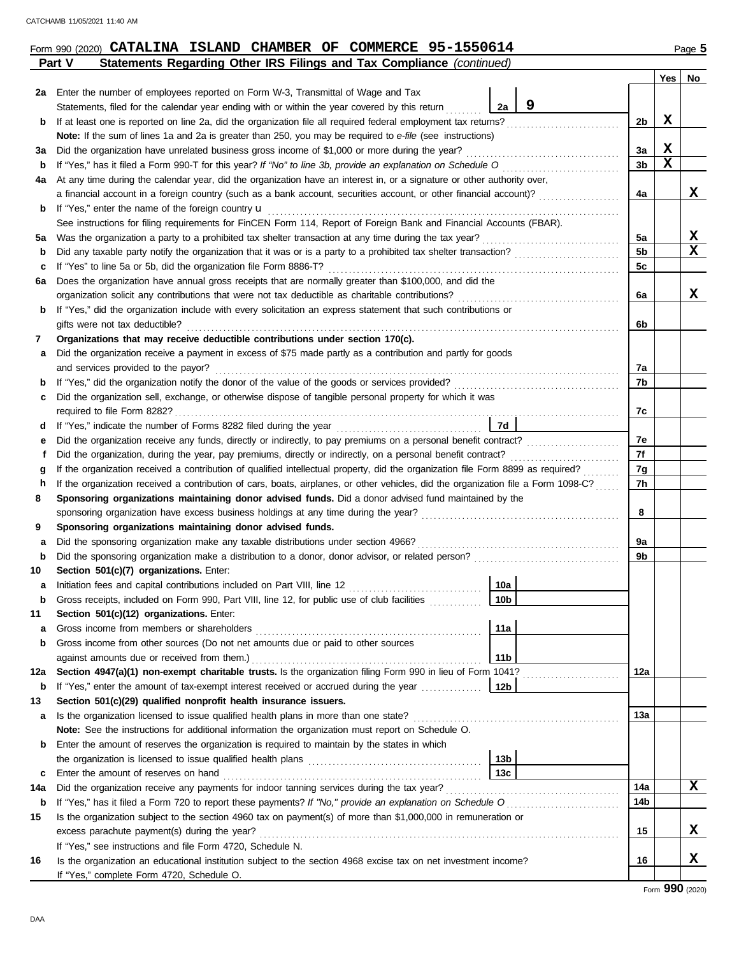### **Form 990 (2020) CATALINA ISLAND CHAMBER OF COMMERCE 95-1550614** Page 5

|                                                                                                                                         | Statements Regarding Other IRS Filings and Tax Compliance (continued)<br>Part V                                         |                |     |    |  |  |  |  |  |  |  |
|-----------------------------------------------------------------------------------------------------------------------------------------|-------------------------------------------------------------------------------------------------------------------------|----------------|-----|----|--|--|--|--|--|--|--|
|                                                                                                                                         |                                                                                                                         |                | Yes | No |  |  |  |  |  |  |  |
| 2a                                                                                                                                      | Enter the number of employees reported on Form W-3, Transmittal of Wage and Tax                                         |                |     |    |  |  |  |  |  |  |  |
|                                                                                                                                         | 9<br>2a<br>Statements, filed for the calendar year ending with or within the year covered by this return                |                |     |    |  |  |  |  |  |  |  |
| b                                                                                                                                       |                                                                                                                         |                |     |    |  |  |  |  |  |  |  |
|                                                                                                                                         | Note: If the sum of lines 1a and 2a is greater than 250, you may be required to e-file (see instructions)               |                |     |    |  |  |  |  |  |  |  |
| За                                                                                                                                      | Did the organization have unrelated business gross income of \$1,000 or more during the year?                           |                |     |    |  |  |  |  |  |  |  |
| b                                                                                                                                       |                                                                                                                         | 3 <sub>b</sub> | X   |    |  |  |  |  |  |  |  |
| 4a                                                                                                                                      | At any time during the calendar year, did the organization have an interest in, or a signature or other authority over, |                |     |    |  |  |  |  |  |  |  |
|                                                                                                                                         | a financial account in a foreign country (such as a bank account, securities account, or other financial account)?      | 4a             |     | x  |  |  |  |  |  |  |  |
| b                                                                                                                                       | If "Yes," enter the name of the foreign country <b>u</b>                                                                |                |     |    |  |  |  |  |  |  |  |
|                                                                                                                                         | See instructions for filing requirements for FinCEN Form 114, Report of Foreign Bank and Financial Accounts (FBAR).     |                |     |    |  |  |  |  |  |  |  |
| 5a                                                                                                                                      |                                                                                                                         |                |     |    |  |  |  |  |  |  |  |
| b                                                                                                                                       |                                                                                                                         | 5 <sub>b</sub> |     | X  |  |  |  |  |  |  |  |
| c                                                                                                                                       | If "Yes" to line 5a or 5b, did the organization file Form 8886-T?                                                       | 5 <sub>c</sub> |     |    |  |  |  |  |  |  |  |
| 6a                                                                                                                                      | Does the organization have annual gross receipts that are normally greater than \$100,000, and did the                  |                |     |    |  |  |  |  |  |  |  |
|                                                                                                                                         |                                                                                                                         | 6a             |     | x  |  |  |  |  |  |  |  |
| b                                                                                                                                       | If "Yes," did the organization include with every solicitation an express statement that such contributions or          |                |     |    |  |  |  |  |  |  |  |
|                                                                                                                                         | gifts were not tax deductible?                                                                                          | 6b             |     |    |  |  |  |  |  |  |  |
| 7                                                                                                                                       | Organizations that may receive deductible contributions under section 170(c).                                           |                |     |    |  |  |  |  |  |  |  |
| а                                                                                                                                       | Did the organization receive a payment in excess of \$75 made partly as a contribution and partly for goods             |                |     |    |  |  |  |  |  |  |  |
|                                                                                                                                         | and services provided to the payor?                                                                                     | 7a             |     |    |  |  |  |  |  |  |  |
| b                                                                                                                                       |                                                                                                                         | 7b             |     |    |  |  |  |  |  |  |  |
| с                                                                                                                                       | Did the organization sell, exchange, or otherwise dispose of tangible personal property for which it was                |                |     |    |  |  |  |  |  |  |  |
|                                                                                                                                         |                                                                                                                         | 7с             |     |    |  |  |  |  |  |  |  |
| d                                                                                                                                       | 7d                                                                                                                      | 7e             |     |    |  |  |  |  |  |  |  |
|                                                                                                                                         | е                                                                                                                       |                |     |    |  |  |  |  |  |  |  |
|                                                                                                                                         | f                                                                                                                       |                |     |    |  |  |  |  |  |  |  |
|                                                                                                                                         | g                                                                                                                       |                |     |    |  |  |  |  |  |  |  |
| If the organization received a contribution of cars, boats, airplanes, or other vehicles, did the organization file a Form 1098-C?<br>h |                                                                                                                         |                |     |    |  |  |  |  |  |  |  |
|                                                                                                                                         | Sponsoring organizations maintaining donor advised funds. Did a donor advised fund maintained by the<br>8               |                |     |    |  |  |  |  |  |  |  |
| 9                                                                                                                                       | Sponsoring organizations maintaining donor advised funds.                                                               | 8              |     |    |  |  |  |  |  |  |  |
| а                                                                                                                                       |                                                                                                                         | 9а             |     |    |  |  |  |  |  |  |  |
| b                                                                                                                                       |                                                                                                                         | 9b             |     |    |  |  |  |  |  |  |  |
| 10                                                                                                                                      | Section 501(c)(7) organizations. Enter:                                                                                 |                |     |    |  |  |  |  |  |  |  |
| а                                                                                                                                       | 10a<br>Initiation fees and capital contributions included on Part VIII, line 12 [11] [11] [12] [11] [11] [12] [11] [1   |                |     |    |  |  |  |  |  |  |  |
| b                                                                                                                                       | Gross receipts, included on Form 990, Part VIII, line 12, for public use of club facilities<br>10b                      |                |     |    |  |  |  |  |  |  |  |
| 11                                                                                                                                      | Section 501(c)(12) organizations. Enter:                                                                                |                |     |    |  |  |  |  |  |  |  |
| а                                                                                                                                       | 11a                                                                                                                     |                |     |    |  |  |  |  |  |  |  |
| b                                                                                                                                       | Gross income from other sources (Do not net amounts due or paid to other sources                                        |                |     |    |  |  |  |  |  |  |  |
|                                                                                                                                         | against amounts due or received from them.)<br>11b                                                                      |                |     |    |  |  |  |  |  |  |  |
| 12a                                                                                                                                     | Section 4947(a)(1) non-exempt charitable trusts. Is the organization filing Form 990 in lieu of Form 1041?              | 12a            |     |    |  |  |  |  |  |  |  |
| b                                                                                                                                       | If "Yes," enter the amount of tax-exempt interest received or accrued during the year<br>12b                            |                |     |    |  |  |  |  |  |  |  |
| 13                                                                                                                                      | Section 501(c)(29) qualified nonprofit health insurance issuers.                                                        |                |     |    |  |  |  |  |  |  |  |
| а                                                                                                                                       |                                                                                                                         | 13а            |     |    |  |  |  |  |  |  |  |
|                                                                                                                                         | Note: See the instructions for additional information the organization must report on Schedule O.                       |                |     |    |  |  |  |  |  |  |  |
| b                                                                                                                                       | Enter the amount of reserves the organization is required to maintain by the states in which                            |                |     |    |  |  |  |  |  |  |  |
|                                                                                                                                         | 13 <sub>b</sub>                                                                                                         |                |     |    |  |  |  |  |  |  |  |
| c                                                                                                                                       | 13 <sub>c</sub><br>Enter the amount of reserves on hand                                                                 |                |     |    |  |  |  |  |  |  |  |
| 14a                                                                                                                                     |                                                                                                                         | 14a            |     | X  |  |  |  |  |  |  |  |
| b                                                                                                                                       | If "Yes," has it filed a Form 720 to report these payments? If "No," provide an explanation on Schedule O               | 14b            |     |    |  |  |  |  |  |  |  |
| 15                                                                                                                                      | Is the organization subject to the section 4960 tax on payment(s) of more than \$1,000,000 in remuneration or           |                |     |    |  |  |  |  |  |  |  |
|                                                                                                                                         | excess parachute payment(s) during the year?                                                                            | 15             |     | x  |  |  |  |  |  |  |  |
|                                                                                                                                         | If "Yes," see instructions and file Form 4720, Schedule N.                                                              |                |     |    |  |  |  |  |  |  |  |
| 16                                                                                                                                      | Is the organization an educational institution subject to the section 4968 excise tax on net investment income?         | 16             |     | X  |  |  |  |  |  |  |  |
|                                                                                                                                         | If "Yes," complete Form 4720, Schedule O.                                                                               |                |     |    |  |  |  |  |  |  |  |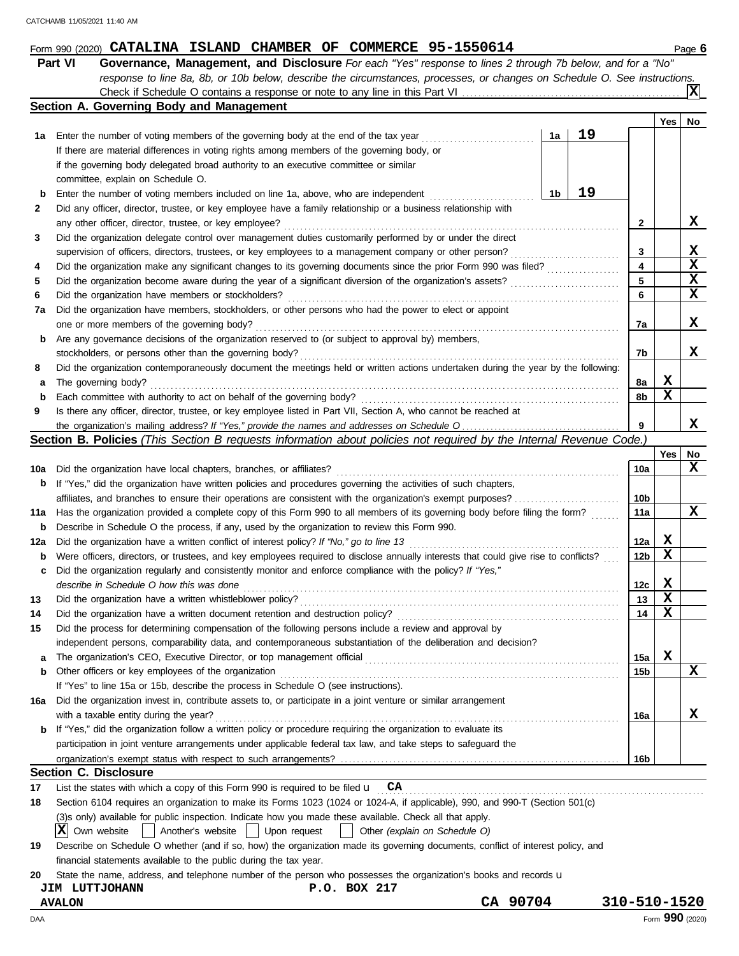|     | Section A. Governing Body and Management                                                                                                                                                             |                 |             | x           |
|-----|------------------------------------------------------------------------------------------------------------------------------------------------------------------------------------------------------|-----------------|-------------|-------------|
|     |                                                                                                                                                                                                      |                 | Yes         | No          |
| 1а  | 19<br>Enter the number of voting members of the governing body at the end of the tax year<br>1a                                                                                                      |                 |             |             |
|     | If there are material differences in voting rights among members of the governing body, or                                                                                                           |                 |             |             |
|     | if the governing body delegated broad authority to an executive committee or similar                                                                                                                 |                 |             |             |
|     | committee, explain on Schedule O.                                                                                                                                                                    |                 |             |             |
| b   | 19<br>1b<br>Enter the number of voting members included on line 1a, above, who are independent                                                                                                       |                 |             |             |
| 2   | Did any officer, director, trustee, or key employee have a family relationship or a business relationship with                                                                                       |                 |             |             |
|     | any other officer, director, trustee, or key employee?                                                                                                                                               | 2               |             | x           |
| 3   | Did the organization delegate control over management duties customarily performed by or under the direct                                                                                            |                 |             |             |
|     | supervision of officers, directors, trustees, or key employees to a management company or other person?                                                                                              | 3               |             | X           |
| 4   | Did the organization make any significant changes to its governing documents since the prior Form 990 was filed?                                                                                     | 4               |             | $\mathbf x$ |
| 5   |                                                                                                                                                                                                      | 5               |             | X           |
| 6   | Did the organization have members or stockholders?                                                                                                                                                   | 6               |             | X           |
| 7a  | Did the organization have members, stockholders, or other persons who had the power to elect or appoint                                                                                              |                 |             |             |
|     | one or more members of the governing body?                                                                                                                                                           | 7a              |             | X           |
| b   | Are any governance decisions of the organization reserved to (or subject to approval by) members,                                                                                                    |                 |             |             |
|     | stockholders, or persons other than the governing body?                                                                                                                                              | 7b              |             | x           |
| 8   | Did the organization contemporaneously document the meetings held or written actions undertaken during the year by the following:                                                                    |                 |             |             |
| а   | The governing body?                                                                                                                                                                                  | 8a              | X           |             |
| b   | Each committee with authority to act on behalf of the governing body?                                                                                                                                | 8b              | X           |             |
| 9   | Is there any officer, director, trustee, or key employee listed in Part VII, Section A, who cannot be reached at                                                                                     |                 |             |             |
|     |                                                                                                                                                                                                      | 9               |             | x           |
|     | Section B. Policies (This Section B requests information about policies not required by the Internal Revenue Code.)                                                                                  |                 |             |             |
|     |                                                                                                                                                                                                      |                 | Yes         | No          |
| 10a | Did the organization have local chapters, branches, or affiliates?                                                                                                                                   | 10a             |             | x           |
| b   | If "Yes," did the organization have written policies and procedures governing the activities of such chapters,                                                                                       |                 |             |             |
|     |                                                                                                                                                                                                      | 10b             |             |             |
| 11a | Has the organization provided a complete copy of this Form 990 to all members of its governing body before filing the form?                                                                          | 11a             |             | x           |
| b   | Describe in Schedule O the process, if any, used by the organization to review this Form 990.                                                                                                        |                 |             |             |
| 12a | Did the organization have a written conflict of interest policy? If "No," go to line 13                                                                                                              | 12a             | X           |             |
| b   | Were officers, directors, or trustees, and key employees required to disclose annually interests that could give rise to conflicts?                                                                  | 12 <sub>b</sub> | X           |             |
| c   | Did the organization regularly and consistently monitor and enforce compliance with the policy? If "Yes,"                                                                                            |                 |             |             |
|     | describe in Schedule O how this was done                                                                                                                                                             | 12c             | X           |             |
|     | Did the organization have a written whistleblower policy?                                                                                                                                            | 13              | $\mathbf x$ |             |
| 14  | Did the organization have a written document retention and destruction policy?                                                                                                                       | 14              | х           |             |
| 15  | Did the process for determining compensation of the following persons include a review and approval by                                                                                               |                 |             |             |
|     | independent persons, comparability data, and contemporaneous substantiation of the deliberation and decision?                                                                                        |                 |             |             |
| а   |                                                                                                                                                                                                      | 15a             | X           |             |
| b   | Other officers or key employees of the organization                                                                                                                                                  | 15b             |             | x           |
|     | If "Yes" to line 15a or 15b, describe the process in Schedule O (see instructions).                                                                                                                  |                 |             |             |
| 16a | Did the organization invest in, contribute assets to, or participate in a joint venture or similar arrangement                                                                                       |                 |             |             |
|     | with a taxable entity during the year?                                                                                                                                                               |                 |             | x           |
|     | If "Yes," did the organization follow a written policy or procedure requiring the organization to evaluate its                                                                                       | 16a             |             |             |
| b   | participation in joint venture arrangements under applicable federal tax law, and take steps to safeguard the                                                                                        |                 |             |             |
|     |                                                                                                                                                                                                      |                 |             |             |
|     |                                                                                                                                                                                                      | 16b             |             |             |
|     | <b>Section C. Disclosure</b>                                                                                                                                                                         |                 |             |             |
| 17  | List the states with which a copy of this Form 990 is required to be filed $\mathbf{u}$ $\mathbf{CA}$                                                                                                |                 |             |             |
| 18  | Section 6104 requires an organization to make its Forms 1023 (1024 or 1024-A, if applicable), 990, and 990-T (Section 501(c)                                                                         |                 |             |             |
|     | (3)s only) available for public inspection. Indicate how you made these available. Check all that apply.                                                                                             |                 |             |             |
|     | Another's website     Upon request<br>X Own website<br>Other (explain on Schedule O)                                                                                                                 |                 |             |             |
| 19  | Describe on Schedule O whether (and if so, how) the organization made its governing documents, conflict of interest policy, and<br>financial statements available to the public during the tax year. |                 |             |             |
|     |                                                                                                                                                                                                      |                 |             |             |

| 20 State the name, address, and telephone number of the person who possesses the organization's books and records <b>u</b> |  |  |  |  |
|----------------------------------------------------------------------------------------------------------------------------|--|--|--|--|

| <b>JIM LUTTJOHANN</b> | P.O. BOX 217 |  |
|-----------------------|--------------|--|
| <b>AVALON</b>         |              |  |

**CA** 90704 **310-510-1520**<br>Form **990** (2020)

|--|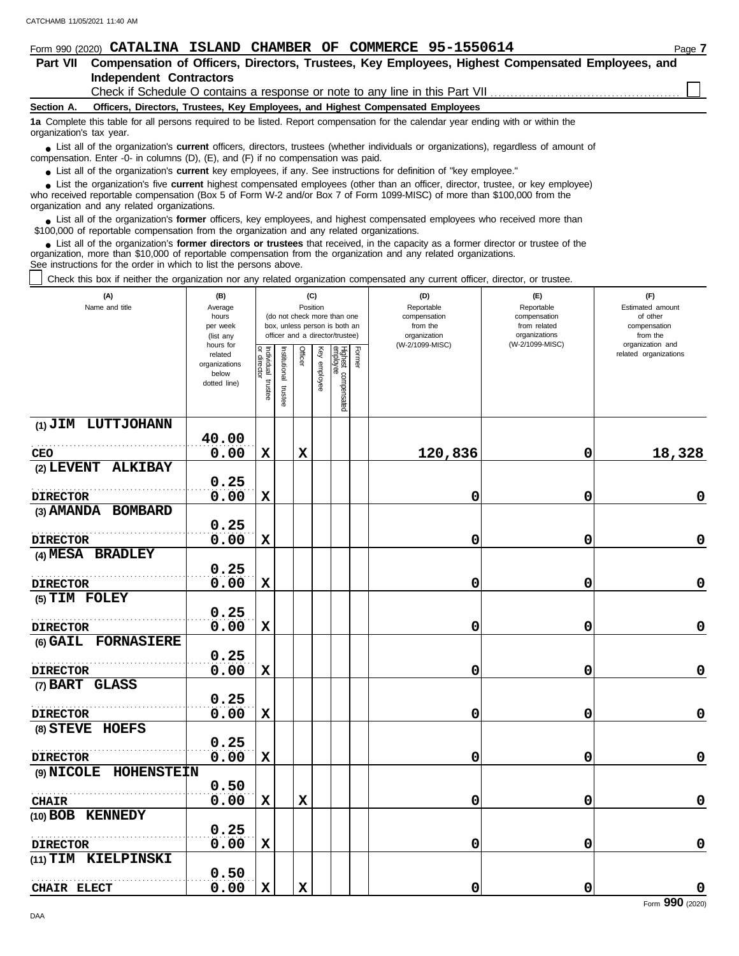| Form 990 (2020) CATALINA ISLAND CHAMBER OF COMMERCE 95-1550614<br>Page 7                                                                                                                                                                   |  |  |  |  |  |  |  |  |  |  |  |
|--------------------------------------------------------------------------------------------------------------------------------------------------------------------------------------------------------------------------------------------|--|--|--|--|--|--|--|--|--|--|--|
| Compensation of Officers, Directors, Trustees, Key Employees, Highest Compensated Employees, and<br><b>Part VII</b>                                                                                                                        |  |  |  |  |  |  |  |  |  |  |  |
| <b>Independent Contractors</b>                                                                                                                                                                                                             |  |  |  |  |  |  |  |  |  |  |  |
| Check if Schedule O contains a response or note to any line in this Part VII                                                                                                                                                               |  |  |  |  |  |  |  |  |  |  |  |
| Officers, Directors, Trustees, Key Employees, and Highest Compensated Employees<br>Section A.                                                                                                                                              |  |  |  |  |  |  |  |  |  |  |  |
| 1a Complete this table for all persons required to be listed. Report compensation for the calendar year ending with or within the<br>organization's tax year.                                                                              |  |  |  |  |  |  |  |  |  |  |  |
| • List all of the organization's <b>current</b> officers, directors, trustees (whether individuals or organizations), regardless of amount of<br>compensation. Enter -0- in columns $(D)$ , $(E)$ , and $(F)$ if no compensation was paid. |  |  |  |  |  |  |  |  |  |  |  |
| • List all of the organization's current key employees, if any. See instructions for definition of "key employee."                                                                                                                         |  |  |  |  |  |  |  |  |  |  |  |
| • List the organization's five current highest compensated employees (other than an officer, director, trustee, or key employee)                                                                                                           |  |  |  |  |  |  |  |  |  |  |  |
| who received reportable compensation (Box 5 of Form W-2 and/or Box 7 of Form 1099-MISC) of more than \$100,000 from the<br>organization and any related organizations.                                                                     |  |  |  |  |  |  |  |  |  |  |  |
|                                                                                                                                                                                                                                            |  |  |  |  |  |  |  |  |  |  |  |

List all of the organization's **former** officers, key employees, and highest compensated employees who received more than • List all of the organization's **former** officers, key employees, and highest compensate \$100,000 of reportable compensation from the organization and any related organizations.

List all of the organization's **former directors or trustees** that received, in the capacity as a former director or trustee of the organization, more than \$10,000 of reportable compensation from the organization and any related organizations. See instructions for the order in which to list the persons above. **•**

 $\mathbb{R}^n$ Check this box if neither the organization nor any related organization compensated any current officer, director, or trustee.

| (A)<br>Name and title     | (B)<br>Average<br>hours<br>per week<br>(list any               |                                   |                          |             | (C)<br>Position | (do not check more than one<br>box, unless person is both an<br>officer and a director/trustee) | (D)<br>Reportable<br>compensation<br>from the<br>organization | (E)<br>Reportable<br>compensation<br>from related<br>organizations | (F)<br>Estimated amount<br>of other<br>compensation<br>from the |
|---------------------------|----------------------------------------------------------------|-----------------------------------|--------------------------|-------------|-----------------|-------------------------------------------------------------------------------------------------|---------------------------------------------------------------|--------------------------------------------------------------------|-----------------------------------------------------------------|
|                           | hours for<br>related<br>organizations<br>below<br>dotted line) | Individual trustee<br>or director | Institutional<br>trustee | Officer     | Key employee    | Former<br>Highest compensated<br>employee                                                       | (W-2/1099-MISC)                                               | (W-2/1099-MISC)                                                    | organization and<br>related organizations                       |
| (1) JIM LUTTJOHANN        |                                                                |                                   |                          |             |                 |                                                                                                 |                                                               |                                                                    |                                                                 |
|                           | 40.00                                                          |                                   |                          |             |                 |                                                                                                 |                                                               |                                                                    |                                                                 |
| CEO<br>(2) LEVENT ALKIBAY | 0.00                                                           | $\mathbf x$                       |                          | $\mathbf x$ |                 |                                                                                                 | 120,836                                                       | 0                                                                  | 18,328                                                          |
|                           | 0.25                                                           |                                   |                          |             |                 |                                                                                                 |                                                               |                                                                    |                                                                 |
| <b>DIRECTOR</b>           | 0.00                                                           | $\mathbf x$                       |                          |             |                 |                                                                                                 | 0                                                             | 0                                                                  | 0                                                               |
| (3) AMANDA BOMBARD        |                                                                |                                   |                          |             |                 |                                                                                                 |                                                               |                                                                    |                                                                 |
|                           | 0.25                                                           |                                   |                          |             |                 |                                                                                                 |                                                               |                                                                    |                                                                 |
| <b>DIRECTOR</b>           | 0.00                                                           | $\mathbf x$                       |                          |             |                 |                                                                                                 | 0                                                             | 0                                                                  | $\mathbf 0$                                                     |
| (4) MESA BRADLEY          |                                                                |                                   |                          |             |                 |                                                                                                 |                                                               |                                                                    |                                                                 |
|                           | 0.25                                                           |                                   |                          |             |                 |                                                                                                 |                                                               |                                                                    |                                                                 |
| <b>DIRECTOR</b>           | 0.00                                                           | $\mathbf x$                       |                          |             |                 |                                                                                                 | 0                                                             | 0                                                                  | $\mathbf 0$                                                     |
| (5) TIM FOLEY             |                                                                |                                   |                          |             |                 |                                                                                                 |                                                               |                                                                    |                                                                 |
|                           | 0.25                                                           |                                   |                          |             |                 |                                                                                                 |                                                               |                                                                    |                                                                 |
| <b>DIRECTOR</b>           | 0.00                                                           | $\mathbf x$                       |                          |             |                 |                                                                                                 | 0                                                             | 0                                                                  | 0                                                               |
| (6) GAIL FORNASIERE       |                                                                |                                   |                          |             |                 |                                                                                                 |                                                               |                                                                    |                                                                 |
|                           | 0.25                                                           |                                   |                          |             |                 |                                                                                                 |                                                               |                                                                    |                                                                 |
| <b>DIRECTOR</b>           | 0.00                                                           | $\mathbf x$                       |                          |             |                 |                                                                                                 | 0                                                             | 0                                                                  | $\mathbf 0$                                                     |
| (7) BART GLASS            | 0.25                                                           |                                   |                          |             |                 |                                                                                                 |                                                               |                                                                    |                                                                 |
| <b>DIRECTOR</b>           | 0.00                                                           | $\mathbf x$                       |                          |             |                 |                                                                                                 | 0                                                             | 0                                                                  | 0                                                               |
| (8) STEVE HOEFS           |                                                                |                                   |                          |             |                 |                                                                                                 |                                                               |                                                                    |                                                                 |
|                           | 0.25                                                           |                                   |                          |             |                 |                                                                                                 |                                                               |                                                                    |                                                                 |
| <b>DIRECTOR</b>           | 0.00                                                           | $\mathbf x$                       |                          |             |                 |                                                                                                 | 0                                                             | 0                                                                  | $\mathbf 0$                                                     |
| (9) NICOLE HOHENSTEIN     |                                                                |                                   |                          |             |                 |                                                                                                 |                                                               |                                                                    |                                                                 |
|                           | 0.50                                                           |                                   |                          |             |                 |                                                                                                 |                                                               |                                                                    |                                                                 |
| <b>CHAIR</b>              | 0.00                                                           | $\mathbf x$                       |                          | $\mathbf x$ |                 |                                                                                                 | 0                                                             | 0                                                                  | $\mathbf 0$                                                     |
| (10) BOB KENNEDY          |                                                                |                                   |                          |             |                 |                                                                                                 |                                                               |                                                                    |                                                                 |
|                           | 0.25                                                           |                                   |                          |             |                 |                                                                                                 |                                                               |                                                                    |                                                                 |
| <b>DIRECTOR</b>           | 0.00                                                           | $\mathbf x$                       |                          |             |                 |                                                                                                 | 0                                                             | 0                                                                  | $\mathbf 0$                                                     |
| (11) TIM KIELPINSKI       |                                                                |                                   |                          |             |                 |                                                                                                 |                                                               |                                                                    |                                                                 |
|                           | 0.50                                                           |                                   |                          |             |                 |                                                                                                 |                                                               |                                                                    |                                                                 |
| CHAIR ELECT               | 0.00                                                           | $\mathbf x$                       |                          | $\mathbf x$ |                 |                                                                                                 | 0                                                             | 0                                                                  | $\mathbf 0$                                                     |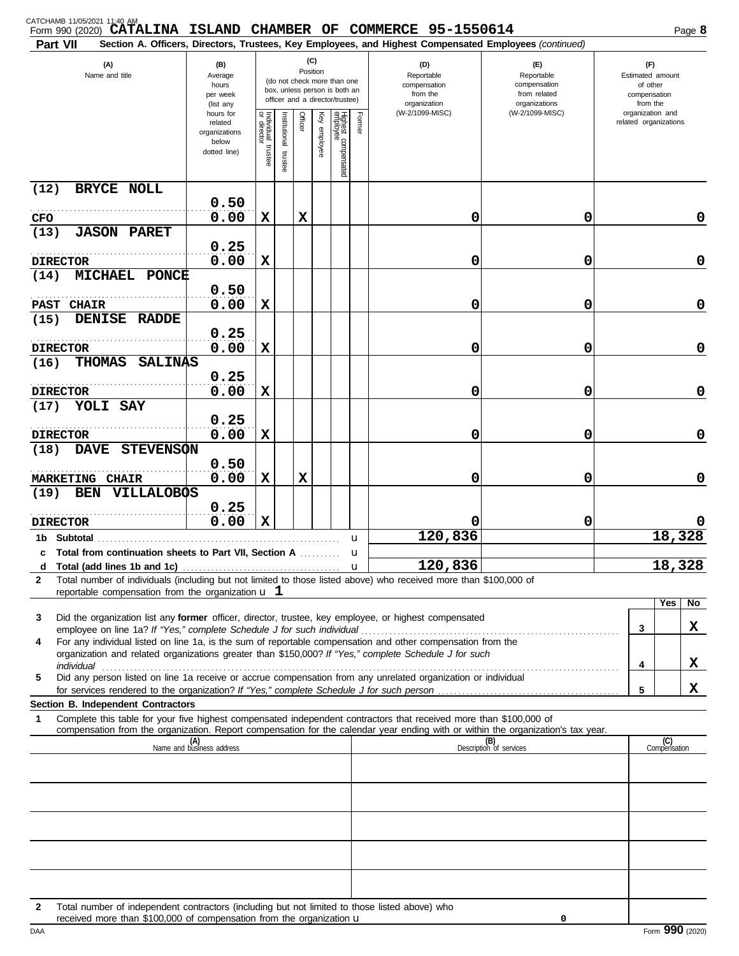| Part VII                    |                                                                                               |                                                                      |                                        |                          |             |              |                                                                                                 |        | Form 990 (2020) CATALINA ISLAND CHAMBER OF COMMERCE 95-1550614<br>Section A. Officers, Directors, Trustees, Key Employees, and Highest Compensated Employees (continued)                                                                                                                                                                              |                                                                    |                                                                 | Page 8              |
|-----------------------------|-----------------------------------------------------------------------------------------------|----------------------------------------------------------------------|----------------------------------------|--------------------------|-------------|--------------|-------------------------------------------------------------------------------------------------|--------|-------------------------------------------------------------------------------------------------------------------------------------------------------------------------------------------------------------------------------------------------------------------------------------------------------------------------------------------------------|--------------------------------------------------------------------|-----------------------------------------------------------------|---------------------|
|                             | (A)<br>Name and title                                                                         | (B)<br>Average<br>hours<br>per week<br>(list any                     |                                        |                          | Position    | (C)          | (do not check more than one<br>box, unless person is both an<br>officer and a director/trustee) |        | (D)<br>Reportable<br>compensation<br>from the<br>organization                                                                                                                                                                                                                                                                                         | (E)<br>Reportable<br>compensation<br>from related<br>organizations | (F)<br>Estimated amount<br>of other<br>compensation<br>from the |                     |
|                             |                                                                                               | hours for<br>related<br>organizations<br>below<br>dotted line)       | Individual 1<br>or director<br>trustee | Institutional<br>trustee | Officer     | Key employee | Highest compensated<br>employee                                                                 | Former | (W-2/1099-MISC)                                                                                                                                                                                                                                                                                                                                       | (W-2/1099-MISC)                                                    | organization and<br>related organizations                       |                     |
| (12)                        | BRYCE NOLL                                                                                    |                                                                      |                                        |                          |             |              |                                                                                                 |        |                                                                                                                                                                                                                                                                                                                                                       |                                                                    |                                                                 |                     |
| $\mbox{CFO}$                |                                                                                               | 0.50<br>0.00                                                         | $\mathbf x$                            |                          | $\mathbf x$ |              |                                                                                                 |        | 0                                                                                                                                                                                                                                                                                                                                                     | 0                                                                  |                                                                 | 0                   |
| (13)                        | <b>JASON PARET</b>                                                                            |                                                                      |                                        |                          |             |              |                                                                                                 |        |                                                                                                                                                                                                                                                                                                                                                       |                                                                    |                                                                 |                     |
| <b>DIRECTOR</b>             |                                                                                               | 0.25<br>0.00                                                         | $\mathbf x$                            |                          |             |              |                                                                                                 |        | 0                                                                                                                                                                                                                                                                                                                                                     | 0                                                                  |                                                                 | $\mathbf 0$         |
| (14)                        | MICHAEL PONCE                                                                                 |                                                                      |                                        |                          |             |              |                                                                                                 |        |                                                                                                                                                                                                                                                                                                                                                       |                                                                    |                                                                 |                     |
| <b>CHAIR</b><br><b>PAST</b> |                                                                                               | 0.50<br>0.00                                                         | $\mathbf x$                            |                          |             |              |                                                                                                 |        | 0                                                                                                                                                                                                                                                                                                                                                     | 0                                                                  |                                                                 | $\mathbf 0$         |
| (15)                        | DENISE RADDE                                                                                  | 0.25                                                                 |                                        |                          |             |              |                                                                                                 |        |                                                                                                                                                                                                                                                                                                                                                       |                                                                    |                                                                 |                     |
| <b>DIRECTOR</b>             |                                                                                               | 0.00                                                                 | $\mathbf x$                            |                          |             |              |                                                                                                 |        | 0                                                                                                                                                                                                                                                                                                                                                     | 0                                                                  |                                                                 | $\mathbf 0$         |
| (16)                        | <b>SALINAS</b><br><b>THOMAS</b>                                                               |                                                                      |                                        |                          |             |              |                                                                                                 |        |                                                                                                                                                                                                                                                                                                                                                       |                                                                    |                                                                 |                     |
| <b>DIRECTOR</b>             |                                                                                               | 0.25<br>0.00                                                         | X                                      |                          |             |              |                                                                                                 |        | 0                                                                                                                                                                                                                                                                                                                                                     | 0                                                                  |                                                                 | $\mathbf 0$         |
| (17)                        | YOLI SAY                                                                                      |                                                                      |                                        |                          |             |              |                                                                                                 |        |                                                                                                                                                                                                                                                                                                                                                       |                                                                    |                                                                 |                     |
| <b>DIRECTOR</b>             |                                                                                               | 0.25<br>0.00                                                         | $\mathbf x$                            |                          |             |              |                                                                                                 |        | 0                                                                                                                                                                                                                                                                                                                                                     | 0                                                                  |                                                                 | $\mathbf 0$         |
| (18)                        | DAVE STEVENSON                                                                                |                                                                      |                                        |                          |             |              |                                                                                                 |        |                                                                                                                                                                                                                                                                                                                                                       |                                                                    |                                                                 |                     |
| <b>MARKETING CHAIR</b>      |                                                                                               | 0.50<br>0.00                                                         | $\mathbf x$                            |                          | $\mathbf x$ |              |                                                                                                 |        | 0                                                                                                                                                                                                                                                                                                                                                     | 0                                                                  |                                                                 | $\mathbf 0$         |
| (19)<br>BEN                 | <b>VILLALOBOS</b>                                                                             |                                                                      |                                        |                          |             |              |                                                                                                 |        |                                                                                                                                                                                                                                                                                                                                                       |                                                                    |                                                                 |                     |
|                             |                                                                                               | 0.25                                                                 |                                        |                          |             |              |                                                                                                 |        |                                                                                                                                                                                                                                                                                                                                                       |                                                                    |                                                                 |                     |
| <b>DIRECTOR</b>             | 1b Subtotal                                                                                   | 0.00                                                                 | $\mathbf x$                            |                          |             |              |                                                                                                 | u      | O<br>120,836                                                                                                                                                                                                                                                                                                                                          | 0                                                                  |                                                                 | 18,328              |
|                             | c Total from continuation sheets to Part VII, Section A                                       |                                                                      |                                        |                          |             |              |                                                                                                 |        |                                                                                                                                                                                                                                                                                                                                                       |                                                                    |                                                                 |                     |
| $\mathbf{2}$                |                                                                                               |                                                                      |                                        |                          |             |              |                                                                                                 |        | 120,836<br>Total number of individuals (including but not limited to those listed above) who received more than \$100,000 of                                                                                                                                                                                                                          |                                                                    |                                                                 | 18,328              |
|                             | reportable compensation from the organization $\bf{u}$ 1                                      |                                                                      |                                        |                          |             |              |                                                                                                 |        |                                                                                                                                                                                                                                                                                                                                                       |                                                                    |                                                                 |                     |
| 3                           |                                                                                               |                                                                      |                                        |                          |             |              |                                                                                                 |        | Did the organization list any former officer, director, trustee, key employee, or highest compensated                                                                                                                                                                                                                                                 |                                                                    |                                                                 | No<br>Yes           |
| 4                           |                                                                                               |                                                                      |                                        |                          |             |              |                                                                                                 |        | For any individual listed on line 1a, is the sum of reportable compensation and other compensation from the                                                                                                                                                                                                                                           |                                                                    | 3                                                               | X                   |
|                             |                                                                                               |                                                                      |                                        |                          |             |              |                                                                                                 |        | organization and related organizations greater than \$150,000? If "Yes," complete Schedule J for such                                                                                                                                                                                                                                                 |                                                                    |                                                                 |                     |
| 5                           |                                                                                               |                                                                      |                                        |                          |             |              |                                                                                                 |        | individual <b>construents and the construction of the construction of the construction of the construction of the construction of the construction of the construction of the construction of the construction of the constructi</b><br>Did any person listed on line 1a receive or accrue compensation from any unrelated organization or individual |                                                                    | 4                                                               | x                   |
|                             |                                                                                               |                                                                      |                                        |                          |             |              |                                                                                                 |        |                                                                                                                                                                                                                                                                                                                                                       |                                                                    | 5                                                               | X                   |
| 1                           | Section B. Independent Contractors                                                            |                                                                      |                                        |                          |             |              |                                                                                                 |        | Complete this table for your five highest compensated independent contractors that received more than \$100,000 of                                                                                                                                                                                                                                    |                                                                    |                                                                 |                     |
|                             |                                                                                               | (A)<br>Name and business address                                     |                                        |                          |             |              |                                                                                                 |        | compensation from the organization. Report compensation for the calendar year ending with or within the organization's tax year.                                                                                                                                                                                                                      | (B)<br>Description of services                                     |                                                                 | (C)<br>Compensation |
|                             |                                                                                               |                                                                      |                                        |                          |             |              |                                                                                                 |        |                                                                                                                                                                                                                                                                                                                                                       |                                                                    |                                                                 |                     |
|                             |                                                                                               |                                                                      |                                        |                          |             |              |                                                                                                 |        |                                                                                                                                                                                                                                                                                                                                                       |                                                                    |                                                                 |                     |
|                             |                                                                                               |                                                                      |                                        |                          |             |              |                                                                                                 |        |                                                                                                                                                                                                                                                                                                                                                       |                                                                    |                                                                 |                     |
|                             |                                                                                               |                                                                      |                                        |                          |             |              |                                                                                                 |        |                                                                                                                                                                                                                                                                                                                                                       |                                                                    |                                                                 |                     |
|                             |                                                                                               |                                                                      |                                        |                          |             |              |                                                                                                 |        |                                                                                                                                                                                                                                                                                                                                                       |                                                                    |                                                                 |                     |
|                             |                                                                                               |                                                                      |                                        |                          |             |              |                                                                                                 |        |                                                                                                                                                                                                                                                                                                                                                       |                                                                    |                                                                 |                     |
|                             |                                                                                               |                                                                      |                                        |                          |             |              |                                                                                                 |        |                                                                                                                                                                                                                                                                                                                                                       |                                                                    |                                                                 |                     |
| 2                           | Total number of independent contractors (including but not limited to those listed above) who | received more than \$100,000 of compensation from the organization u |                                        |                          |             |              |                                                                                                 |        |                                                                                                                                                                                                                                                                                                                                                       |                                                                    |                                                                 |                     |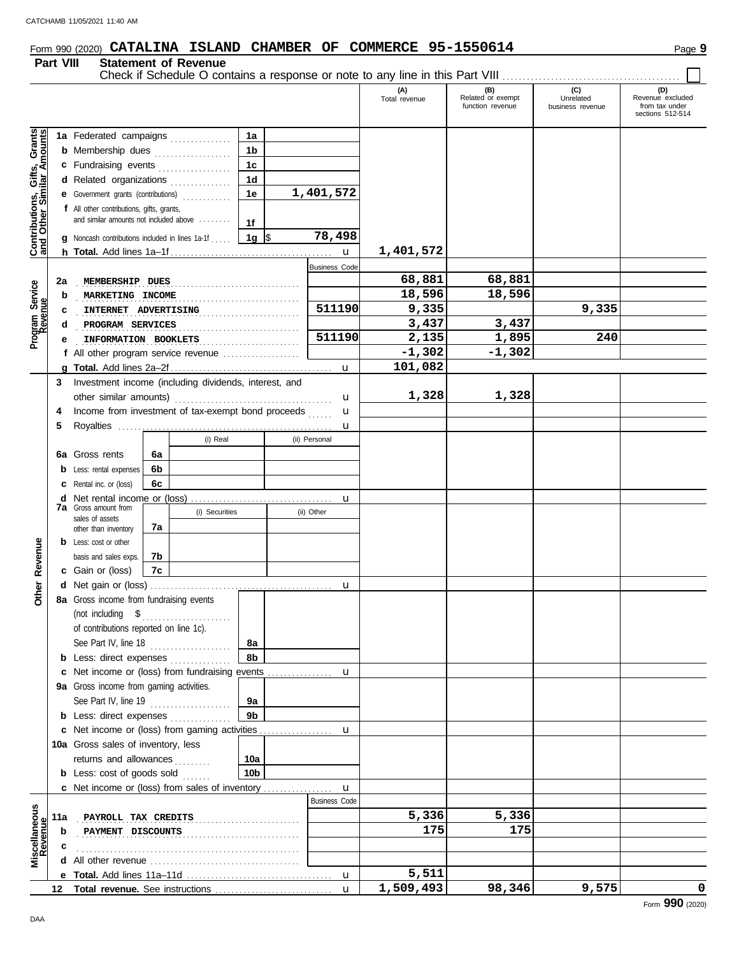### **Form 990 (2020) CATALINA ISLAND CHAMBER OF COMMERCE 95-1550614** Page 9

### **Part VIII Statement of Revenue**

Check if Schedule O contains a response or note to any line in this Part VIII . . . . . . . . . . . . . . . . . . . . . . . . . . . . . . . . . . . . . . . . . . . .

|                                                                  |     |                                                                                            |    |                |                 |                      | (A)<br>Total revenue | (B)<br>Related or exempt<br>function revenue | (C)<br>Unrelated<br>business revenue | (D)<br>Revenue excluded<br>from tax under<br>sections 512-514 |
|------------------------------------------------------------------|-----|--------------------------------------------------------------------------------------------|----|----------------|-----------------|----------------------|----------------------|----------------------------------------------|--------------------------------------|---------------------------------------------------------------|
|                                                                  |     |                                                                                            |    |                |                 |                      |                      |                                              |                                      |                                                               |
|                                                                  |     | 1a Federated campaigns                                                                     |    |                | 1a              |                      |                      |                                              |                                      |                                                               |
|                                                                  |     | <b>b</b> Membership dues                                                                   |    | .              | 1b              |                      |                      |                                              |                                      |                                                               |
|                                                                  |     | c Fundraising events                                                                       |    |                | 1 <sub>c</sub>  |                      |                      |                                              |                                      |                                                               |
|                                                                  |     | d Related organizations                                                                    |    |                | 1 <sub>d</sub>  |                      |                      |                                              |                                      |                                                               |
|                                                                  |     | <b>e</b> Government grants (contributions)                                                 |    |                | 1e              | 1,401,572            |                      |                                              |                                      |                                                               |
| <b>Contributions, Gifts, Grants</b><br>and Other Similar Amounts |     | <b>f</b> All other contributions, gifts, grants,<br>and similar amounts not included above |    |                | 1f              |                      |                      |                                              |                                      |                                                               |
|                                                                  |     | <b>q</b> Noncash contributions included in lines 1a-1f                                     |    |                | 1g $\sqrt{3}$   | 78,498               |                      |                                              |                                      |                                                               |
|                                                                  |     |                                                                                            |    |                |                 | $\mathbf u$          | 1,401,572            |                                              |                                      |                                                               |
|                                                                  |     |                                                                                            |    |                |                 | <b>Business Code</b> |                      |                                              |                                      |                                                               |
|                                                                  | 2a  | MEMBERSHIP DUES                                                                            |    |                |                 |                      | 68,881               | 68,881                                       |                                      |                                                               |
|                                                                  | b   | MARKETING INCOME                                                                           |    |                |                 |                      | 18,596               | 18,596                                       |                                      |                                                               |
|                                                                  | с   | INTERNET ADVERTISING                                                                       |    |                |                 | 511190               | 9,335                |                                              | 9,335                                |                                                               |
| Program Service<br>Revenue                                       | d   | PROGRAM SERVICES                                                                           |    |                |                 |                      | 3,437                | 3,437                                        |                                      |                                                               |
|                                                                  | е   | INFORMATION BOOKLETS                                                                       |    |                |                 | 511190               | 2,135                | 1,895                                        | 240                                  |                                                               |
|                                                                  |     | f All other program service revenue                                                        |    |                |                 |                      | $-1,302$             | $-1,302$                                     |                                      |                                                               |
|                                                                  |     |                                                                                            |    |                |                 | $\mathbf{u}$         | 101,082              |                                              |                                      |                                                               |
|                                                                  | 3   | Investment income (including dividends, interest, and                                      |    |                |                 |                      |                      |                                              |                                      |                                                               |
|                                                                  |     |                                                                                            |    |                |                 | u                    | 1,328                | 1,328                                        |                                      |                                                               |
|                                                                  | 4   | Income from investment of tax-exempt bond proceeds                                         |    |                |                 | u                    |                      |                                              |                                      |                                                               |
|                                                                  | 5   |                                                                                            |    |                |                 | u                    |                      |                                              |                                      |                                                               |
|                                                                  |     |                                                                                            |    | (i) Real       |                 | (ii) Personal        |                      |                                              |                                      |                                                               |
|                                                                  | 6а  | Gross rents                                                                                | 6а |                |                 |                      |                      |                                              |                                      |                                                               |
|                                                                  |     | Less: rental expenses                                                                      | 6b |                |                 |                      |                      |                                              |                                      |                                                               |
|                                                                  |     | Rental inc. or (loss)                                                                      | 6c |                |                 |                      |                      |                                              |                                      |                                                               |
|                                                                  | d   | Net rental income or (loss)                                                                |    |                |                 | u                    |                      |                                              |                                      |                                                               |
|                                                                  |     | <b>7a</b> Gross amount from<br>sales of assets                                             |    | (i) Securities |                 | (ii) Other           |                      |                                              |                                      |                                                               |
|                                                                  |     | other than inventory                                                                       | 7a |                |                 |                      |                      |                                              |                                      |                                                               |
|                                                                  |     | <b>b</b> Less: cost or other                                                               |    |                |                 |                      |                      |                                              |                                      |                                                               |
| Revenue                                                          |     | basis and sales exps.                                                                      | 7b |                |                 |                      |                      |                                              |                                      |                                                               |
|                                                                  |     | c Gain or (loss)                                                                           | 7c |                |                 |                      |                      |                                              |                                      |                                                               |
| <b>Other</b>                                                     |     |                                                                                            |    |                |                 | u                    |                      |                                              |                                      |                                                               |
|                                                                  |     | 8a Gross income from fundraising events                                                    |    |                |                 |                      |                      |                                              |                                      |                                                               |
|                                                                  |     |                                                                                            |    |                |                 |                      |                      |                                              |                                      |                                                               |
|                                                                  |     | of contributions reported on line 1c).                                                     |    |                |                 |                      |                      |                                              |                                      |                                                               |
|                                                                  |     | See Part IV, line 18                                                                       |    |                | 8а              |                      |                      |                                              |                                      |                                                               |
|                                                                  |     | <b>b</b> Less: direct expenses                                                             |    |                | 8b              |                      |                      |                                              |                                      |                                                               |
|                                                                  | С   | Net income or (loss) from fundraising events                                               |    |                |                 | u                    |                      |                                              |                                      |                                                               |
|                                                                  |     | 9a Gross income from gaming activities.                                                    |    |                |                 |                      |                      |                                              |                                      |                                                               |
|                                                                  |     | See Part IV, line 19                                                                       |    | .              | 9a              |                      |                      |                                              |                                      |                                                               |
|                                                                  |     | <b>b</b> Less: direct expenses                                                             |    |                | 9 <sub>b</sub>  |                      |                      |                                              |                                      |                                                               |
|                                                                  | c   | Net income or (loss) from gaming activities                                                |    |                |                 | u                    |                      |                                              |                                      |                                                               |
|                                                                  |     | 10a Gross sales of inventory, less                                                         |    |                |                 |                      |                      |                                              |                                      |                                                               |
|                                                                  |     | returns and allowances                                                                     |    | .              | 10a             |                      |                      |                                              |                                      |                                                               |
|                                                                  |     | <b>b</b> Less: cost of goods sold                                                          |    |                | 10 <sub>b</sub> |                      |                      |                                              |                                      |                                                               |
|                                                                  |     | c Net income or (loss) from sales of inventory                                             |    |                |                 | u                    |                      |                                              |                                      |                                                               |
|                                                                  |     |                                                                                            |    |                |                 | <b>Business Code</b> |                      |                                              |                                      |                                                               |
|                                                                  | 11a | PAYROLL TAX CREDITS                                                                        |    |                |                 |                      | 5,336                | 5,336                                        |                                      |                                                               |
| Miscellaneous<br>Revenue                                         | b   | PAYMENT DISCOUNTS                                                                          |    |                |                 |                      | 175                  | 175                                          |                                      |                                                               |
|                                                                  |     |                                                                                            |    |                |                 |                      |                      |                                              |                                      |                                                               |
|                                                                  |     |                                                                                            |    |                |                 |                      |                      |                                              |                                      |                                                               |
|                                                                  |     |                                                                                            |    |                |                 | u                    | 5,511                |                                              |                                      |                                                               |
|                                                                  | 12  |                                                                                            |    |                |                 | $\mathbf{u}$         | 1,509,493            | 98,346                                       | 9,575                                | 0                                                             |

 $\Box$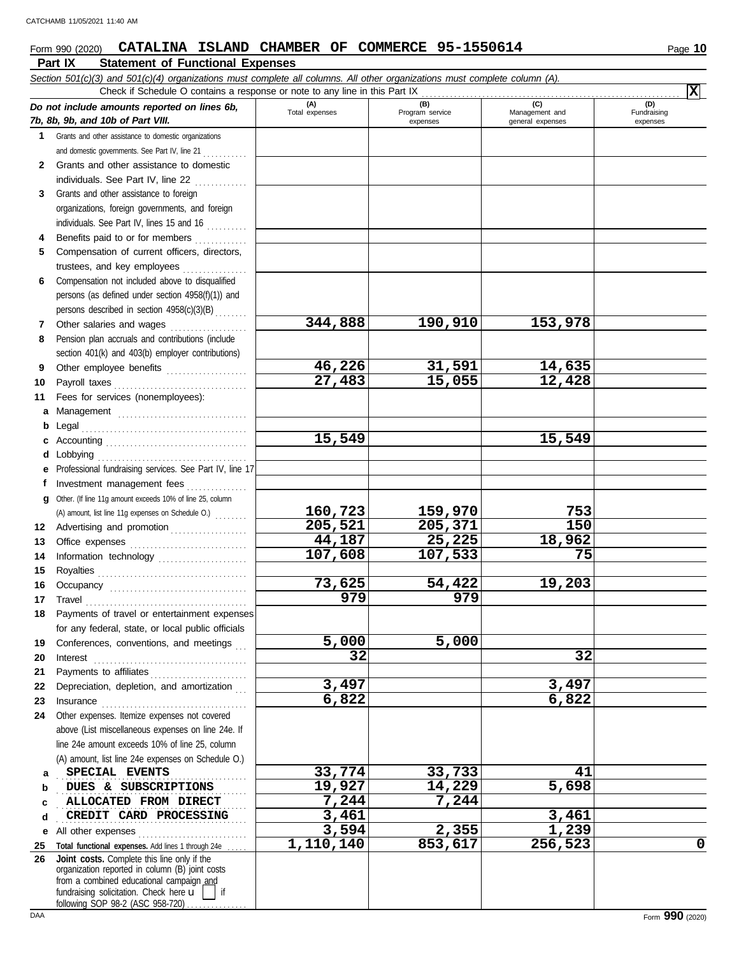#### **Part IX Statement of Functional Expenses Form 990 (2020) CATALINA ISLAND CHAMBER OF COMMERCE 95-1550614** Page 10

|    | Section 501(c)(3) and 501(c)(4) organizations must complete all columns. All other organizations must complete column (A).                                                                                                                                                                                                                                                                                                                                                                                              |                       |                                    |                                           |                                |
|----|-------------------------------------------------------------------------------------------------------------------------------------------------------------------------------------------------------------------------------------------------------------------------------------------------------------------------------------------------------------------------------------------------------------------------------------------------------------------------------------------------------------------------|-----------------------|------------------------------------|-------------------------------------------|--------------------------------|
|    | Check if Schedule O contains a response or note to any line in this Part IX                                                                                                                                                                                                                                                                                                                                                                                                                                             |                       |                                    |                                           | $ \mathbf{x} $                 |
|    | Do not include amounts reported on lines 6b,<br>7b, 8b, 9b, and 10b of Part VIII.                                                                                                                                                                                                                                                                                                                                                                                                                                       | (A)<br>Total expenses | (B)<br>Program service<br>expenses | (C)<br>Management and<br>general expenses | (D)<br>Fundraising<br>expenses |
| 1  | Grants and other assistance to domestic organizations                                                                                                                                                                                                                                                                                                                                                                                                                                                                   |                       |                                    |                                           |                                |
|    | and domestic governments. See Part IV, line 21                                                                                                                                                                                                                                                                                                                                                                                                                                                                          |                       |                                    |                                           |                                |
| 2  | Grants and other assistance to domestic                                                                                                                                                                                                                                                                                                                                                                                                                                                                                 |                       |                                    |                                           |                                |
|    | individuals. See Part IV, line 22                                                                                                                                                                                                                                                                                                                                                                                                                                                                                       |                       |                                    |                                           |                                |
| 3  | Grants and other assistance to foreign                                                                                                                                                                                                                                                                                                                                                                                                                                                                                  |                       |                                    |                                           |                                |
|    | organizations, foreign governments, and foreign                                                                                                                                                                                                                                                                                                                                                                                                                                                                         |                       |                                    |                                           |                                |
|    | individuals. See Part IV, lines 15 and 16                                                                                                                                                                                                                                                                                                                                                                                                                                                                               |                       |                                    |                                           |                                |
| 4  | Benefits paid to or for members                                                                                                                                                                                                                                                                                                                                                                                                                                                                                         |                       |                                    |                                           |                                |
| 5. | Compensation of current officers, directors,                                                                                                                                                                                                                                                                                                                                                                                                                                                                            |                       |                                    |                                           |                                |
|    | trustees, and key employees                                                                                                                                                                                                                                                                                                                                                                                                                                                                                             |                       |                                    |                                           |                                |
| 6  | Compensation not included above to disqualified                                                                                                                                                                                                                                                                                                                                                                                                                                                                         |                       |                                    |                                           |                                |
|    | persons (as defined under section 4958(f)(1)) and                                                                                                                                                                                                                                                                                                                                                                                                                                                                       |                       |                                    |                                           |                                |
|    | persons described in section 4958(c)(3)(B)                                                                                                                                                                                                                                                                                                                                                                                                                                                                              |                       |                                    |                                           |                                |
| 7  | Other salaries and wages                                                                                                                                                                                                                                                                                                                                                                                                                                                                                                | 344,888               | 190,910                            | 153,978                                   |                                |
| 8  | Pension plan accruals and contributions (include                                                                                                                                                                                                                                                                                                                                                                                                                                                                        |                       |                                    |                                           |                                |
|    |                                                                                                                                                                                                                                                                                                                                                                                                                                                                                                                         |                       |                                    |                                           |                                |
|    | section 401(k) and 403(b) employer contributions)                                                                                                                                                                                                                                                                                                                                                                                                                                                                       | 46,226                | 31,591                             | 14,635                                    |                                |
| 9  | Other employee benefits                                                                                                                                                                                                                                                                                                                                                                                                                                                                                                 | 27,483                | 15,055                             | 12,428                                    |                                |
| 10 |                                                                                                                                                                                                                                                                                                                                                                                                                                                                                                                         |                       |                                    |                                           |                                |
| 11 | Fees for services (nonemployees):                                                                                                                                                                                                                                                                                                                                                                                                                                                                                       |                       |                                    |                                           |                                |
| a  |                                                                                                                                                                                                                                                                                                                                                                                                                                                                                                                         |                       |                                    |                                           |                                |
| b  |                                                                                                                                                                                                                                                                                                                                                                                                                                                                                                                         | 15,549                |                                    | 15,549                                    |                                |
| с  |                                                                                                                                                                                                                                                                                                                                                                                                                                                                                                                         |                       |                                    |                                           |                                |
| d  |                                                                                                                                                                                                                                                                                                                                                                                                                                                                                                                         |                       |                                    |                                           |                                |
|    | Professional fundraising services. See Part IV, line 17                                                                                                                                                                                                                                                                                                                                                                                                                                                                 |                       |                                    |                                           |                                |
| f  | Investment management fees                                                                                                                                                                                                                                                                                                                                                                                                                                                                                              |                       |                                    |                                           |                                |
| a  | Other. (If line 11g amount exceeds 10% of line 25, column                                                                                                                                                                                                                                                                                                                                                                                                                                                               |                       |                                    | 753                                       |                                |
|    | (A) amount, list line 11g expenses on Schedule O.)                                                                                                                                                                                                                                                                                                                                                                                                                                                                      | 160,723<br>205,521    | 159,970                            | 150                                       |                                |
| 12 | Advertising and promotion                                                                                                                                                                                                                                                                                                                                                                                                                                                                                               |                       | 205,371                            |                                           |                                |
| 13 |                                                                                                                                                                                                                                                                                                                                                                                                                                                                                                                         | 44,187                | 25,225                             | 18,962<br>75                              |                                |
| 14 | Information technology                                                                                                                                                                                                                                                                                                                                                                                                                                                                                                  | 107,608               | 107,533                            |                                           |                                |
| 15 |                                                                                                                                                                                                                                                                                                                                                                                                                                                                                                                         |                       |                                    | 19,203                                    |                                |
| 16 |                                                                                                                                                                                                                                                                                                                                                                                                                                                                                                                         | 73,625<br>979         | 54,422<br>979                      |                                           |                                |
| 17 | $\begin{minipage}[c]{0.9\linewidth} \begin{tabular}{l} \hline \textbf{Travel} \end{tabular} \end{minipage} \end{minipage} \begin{minipage}[c]{0.9\linewidth} \begin{tabular}{l} \hline \textbf{True} \end{tabular} \end{minipage} \end{minipage} \begin{minipage}[c]{0.9\linewidth} \begin{tabular}{l} \hline \textbf{True} \end{tabular} \end{minipage} \end{minipage} \begin{minipage}[c]{0.9\linewidth} \begin{tabular}{l} \hline \textbf{True} \end{tabular} \end{minipage} \end{minipage} \begin{minipage}[c]{0.9$ |                       |                                    |                                           |                                |
| 18 | Payments of travel or entertainment expenses                                                                                                                                                                                                                                                                                                                                                                                                                                                                            |                       |                                    |                                           |                                |
|    | for any federal, state, or local public officials                                                                                                                                                                                                                                                                                                                                                                                                                                                                       | 5,000                 | 5,000                              |                                           |                                |
| 19 | Conferences, conventions, and meetings                                                                                                                                                                                                                                                                                                                                                                                                                                                                                  | 32                    |                                    | 32                                        |                                |
| 20 | Interest                                                                                                                                                                                                                                                                                                                                                                                                                                                                                                                |                       |                                    |                                           |                                |
| 21 |                                                                                                                                                                                                                                                                                                                                                                                                                                                                                                                         | 3,497                 |                                    |                                           |                                |
| 22 | Depreciation, depletion, and amortization                                                                                                                                                                                                                                                                                                                                                                                                                                                                               | 6,822                 |                                    | 3,497<br>6,822                            |                                |
| 23 |                                                                                                                                                                                                                                                                                                                                                                                                                                                                                                                         |                       |                                    |                                           |                                |
| 24 | Other expenses. Itemize expenses not covered                                                                                                                                                                                                                                                                                                                                                                                                                                                                            |                       |                                    |                                           |                                |
|    | above (List miscellaneous expenses on line 24e. If                                                                                                                                                                                                                                                                                                                                                                                                                                                                      |                       |                                    |                                           |                                |
|    | line 24e amount exceeds 10% of line 25, column                                                                                                                                                                                                                                                                                                                                                                                                                                                                          |                       |                                    |                                           |                                |
|    | (A) amount, list line 24e expenses on Schedule O.)                                                                                                                                                                                                                                                                                                                                                                                                                                                                      |                       |                                    |                                           |                                |
| a  | SPECIAL EVENTS                                                                                                                                                                                                                                                                                                                                                                                                                                                                                                          | 33,774                | 33,733                             | 41                                        |                                |
| b  | DUES & SUBSCRIPTIONS                                                                                                                                                                                                                                                                                                                                                                                                                                                                                                    | 19,927                | 14,229                             | 5,698                                     |                                |
| c  | ALLOCATED FROM DIRECT                                                                                                                                                                                                                                                                                                                                                                                                                                                                                                   | 7,244                 | 7,244                              |                                           |                                |
| d  | CREDIT CARD PROCESSING                                                                                                                                                                                                                                                                                                                                                                                                                                                                                                  | 3,461                 |                                    | 3,461                                     |                                |
| е  | All other expenses                                                                                                                                                                                                                                                                                                                                                                                                                                                                                                      | 3,594                 | 2,355                              | 1,239                                     | $\mathbf 0$                    |
| 25 | Total functional expenses. Add lines 1 through 24e<br>Joint costs. Complete this line only if the                                                                                                                                                                                                                                                                                                                                                                                                                       | 1,110,140             | 853,617                            | 256,523                                   |                                |
| 26 | organization reported in column (B) joint costs                                                                                                                                                                                                                                                                                                                                                                                                                                                                         |                       |                                    |                                           |                                |
|    | from a combined educational campaign and                                                                                                                                                                                                                                                                                                                                                                                                                                                                                |                       |                                    |                                           |                                |
|    | fundraising solicitation. Check here $\mathbf{u}$<br>if                                                                                                                                                                                                                                                                                                                                                                                                                                                                 |                       |                                    |                                           |                                |

following SOP 98-2 (ASC 958-720) . . . . . . . . . . . . .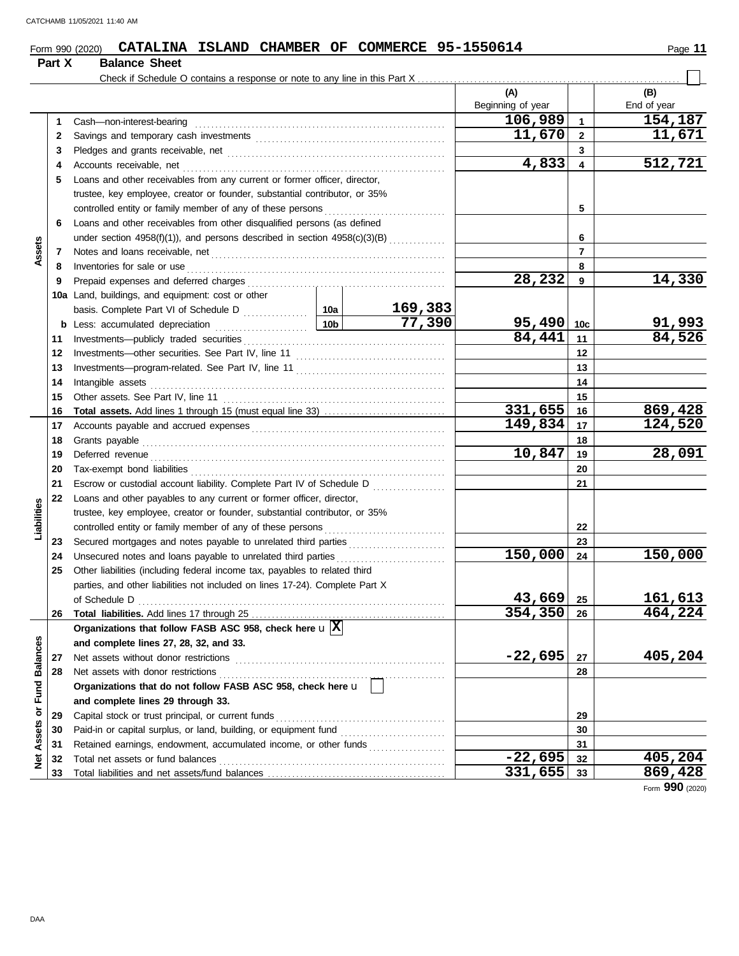## **Form 990 (2020) CATALINA ISLAND CHAMBER OF COMMERCE 95-1550614** Page 11

|                      | Part X | <b>Balance Sheet</b>                                                                                                                                                                                                                |                   |                |                  |
|----------------------|--------|-------------------------------------------------------------------------------------------------------------------------------------------------------------------------------------------------------------------------------------|-------------------|----------------|------------------|
|                      |        |                                                                                                                                                                                                                                     |                   |                |                  |
|                      |        |                                                                                                                                                                                                                                     | (A)               |                | (B)              |
|                      |        |                                                                                                                                                                                                                                     | Beginning of year |                | End of year      |
|                      | 1      | Cash-non-interest-bearing                                                                                                                                                                                                           | 106,989           | $\mathbf{1}$   | 154,187          |
|                      | 2      |                                                                                                                                                                                                                                     | 11,670            | $\overline{2}$ | 11,671           |
|                      | 3      |                                                                                                                                                                                                                                     |                   | 3              |                  |
|                      | 4      |                                                                                                                                                                                                                                     | 4,833             | 4              | 512,721          |
|                      | 5      | Loans and other receivables from any current or former officer, director,                                                                                                                                                           |                   |                |                  |
|                      |        | trustee, key employee, creator or founder, substantial contributor, or 35%                                                                                                                                                          |                   |                |                  |
|                      |        | controlled entity or family member of any of these persons                                                                                                                                                                          |                   | 5              |                  |
|                      | 6      | Loans and other receivables from other disqualified persons (as defined                                                                                                                                                             |                   |                |                  |
|                      |        | under section 4958(f)(1)), and persons described in section 4958(c)(3)(B)                                                                                                                                                           |                   | 6              |                  |
| Assets               | 7      |                                                                                                                                                                                                                                     |                   | $\overline{7}$ |                  |
|                      | 8      | Inventories for sale or use <i>communication</i> and the contract of the contract of the contract of the contract of the contract of the contract of the contract of the contract of the contract of the contract of the contract o |                   | 8              |                  |
|                      | 9      |                                                                                                                                                                                                                                     | 28,232            | 9              | 14,330           |
|                      |        | 10a Land, buildings, and equipment: cost or other                                                                                                                                                                                   |                   |                |                  |
|                      |        | <u> 169,383</u>                                                                                                                                                                                                                     |                   |                |                  |
|                      |        | 77,390<br>10 <sub>b</sub><br><b>b</b> Less: accumulated depreciation                                                                                                                                                                | $95,490$ 10c      |                | 91,993<br>84,526 |
|                      | 11     |                                                                                                                                                                                                                                     | 84,441            | 11             |                  |
|                      | 12     |                                                                                                                                                                                                                                     |                   | 12             |                  |
|                      | 13     |                                                                                                                                                                                                                                     |                   | 13             |                  |
|                      | 14     | Intangible assets                                                                                                                                                                                                                   |                   | 14             |                  |
|                      | 15     |                                                                                                                                                                                                                                     |                   | 15             |                  |
|                      | 16     |                                                                                                                                                                                                                                     | 331,655           | 16             | 869,428          |
|                      | 17     |                                                                                                                                                                                                                                     | 149,834           | 17             | 124,520          |
|                      | 18     | Grants payable                                                                                                                                                                                                                      |                   | 18             |                  |
|                      | 19     |                                                                                                                                                                                                                                     | 10,847            | 19             | 28,091           |
|                      | 20     |                                                                                                                                                                                                                                     |                   | 20             |                  |
|                      | 21     |                                                                                                                                                                                                                                     |                   | 21             |                  |
|                      | 22     | Loans and other payables to any current or former officer, director,                                                                                                                                                                |                   |                |                  |
|                      |        | trustee, key employee, creator or founder, substantial contributor, or 35%                                                                                                                                                          |                   |                |                  |
| Liabilities          |        | controlled entity or family member of any of these persons                                                                                                                                                                          |                   | 22             |                  |
|                      | 23     |                                                                                                                                                                                                                                     |                   | 23             |                  |
|                      | 24     | Unsecured notes and loans payable to unrelated third parties                                                                                                                                                                        | 150,000           | 24             | 150,000          |
|                      | 25     | Other liabilities (including federal income tax, payables to related third                                                                                                                                                          |                   |                |                  |
|                      |        | parties, and other liabilities not included on lines 17-24). Complete Part X                                                                                                                                                        |                   |                |                  |
|                      |        | of Schedule D                                                                                                                                                                                                                       | 43,669            | 25             | 161,613          |
|                      | 26     |                                                                                                                                                                                                                                     | 354,350           | 26             | 464,224          |
|                      |        | Organizations that follow FASB ASC 958, check here $\mathbf{u} \overline{X}$                                                                                                                                                        |                   |                |                  |
|                      |        | and complete lines 27, 28, 32, and 33.                                                                                                                                                                                              |                   |                |                  |
|                      | 27     | Net assets without donor restrictions                                                                                                                                                                                               | $-22,695$         | 27             | 405,204          |
|                      | 28     | Net assets with donor restrictions                                                                                                                                                                                                  |                   | 28             |                  |
| <b>Fund Balances</b> |        | Organizations that do not follow FASB ASC 958, check here u                                                                                                                                                                         |                   |                |                  |
|                      |        | and complete lines 29 through 33.                                                                                                                                                                                                   |                   |                |                  |
| Assets or            | 29     | Capital stock or trust principal, or current funds                                                                                                                                                                                  |                   | 29             |                  |
|                      | 30     | Paid-in or capital surplus, or land, building, or equipment fund                                                                                                                                                                    |                   | 30             |                  |
|                      | 31     | Retained earnings, endowment, accumulated income, or other funds                                                                                                                                                                    |                   | 31             |                  |
| ě                    | 32     | Total net assets or fund balances                                                                                                                                                                                                   | $-22,695$         | 32             | 405,204          |
|                      | 33     |                                                                                                                                                                                                                                     | 331,655           | 33             | 869,428          |

Form **990** (2020)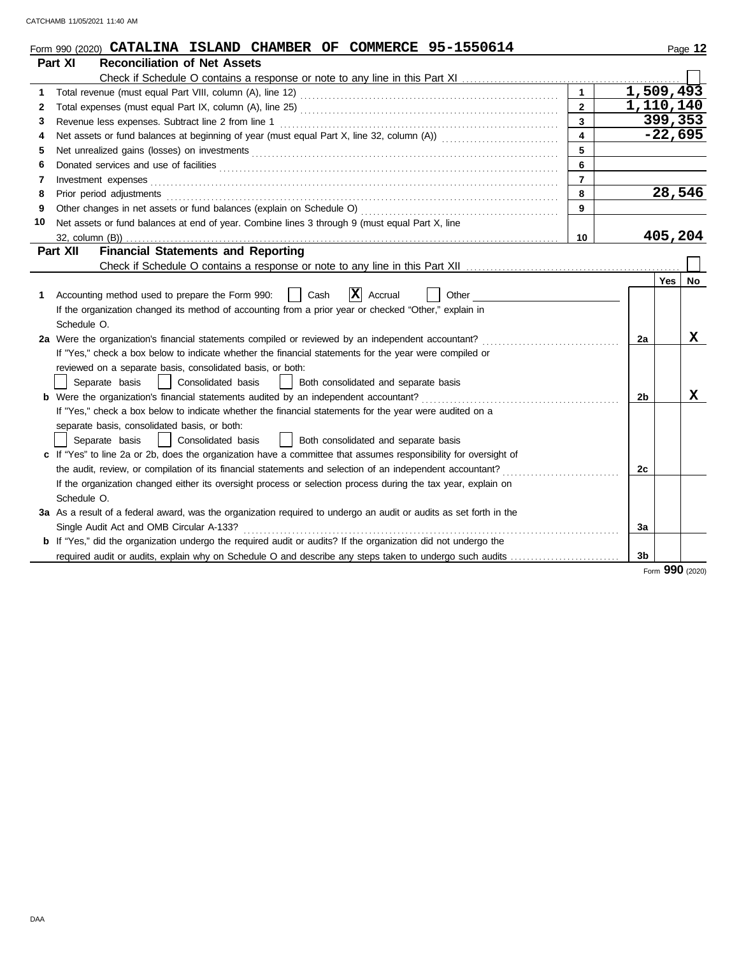|              | Form 990 (2020) CATALINA ISLAND CHAMBER OF COMMERCE 95-1550614                                                                                                                                                                |                         |                |     | Page 12         |
|--------------|-------------------------------------------------------------------------------------------------------------------------------------------------------------------------------------------------------------------------------|-------------------------|----------------|-----|-----------------|
|              | Part XI<br><b>Reconciliation of Net Assets</b>                                                                                                                                                                                |                         |                |     |                 |
|              |                                                                                                                                                                                                                               |                         |                |     |                 |
| 1            |                                                                                                                                                                                                                               | $\mathbf{1}$            | 1,509,493      |     |                 |
| $\mathbf{2}$ |                                                                                                                                                                                                                               | $\overline{2}$          | 1,110,140      |     |                 |
| 3            | Revenue less expenses. Subtract line 2 from line 1                                                                                                                                                                            | $\overline{3}$          |                |     | 399,353         |
| 4            |                                                                                                                                                                                                                               | $\overline{\mathbf{4}}$ |                |     | $-22,695$       |
| 5            | Net unrealized gains (losses) on investments [11] match and the control of the state of the state of the state of the state of the state of the state of the state of the state of the state of the state of the state of the | 5                       |                |     |                 |
| 6            |                                                                                                                                                                                                                               | 6                       |                |     |                 |
| 7            | Investment expenses                                                                                                                                                                                                           | $\overline{7}$          |                |     |                 |
| 8            | Prior period adjustments                                                                                                                                                                                                      | 8                       |                |     | 28,546          |
| 9            | Other changes in net assets or fund balances (explain on Schedule O)                                                                                                                                                          | 9                       |                |     |                 |
| 10           | Net assets or fund balances at end of year. Combine lines 3 through 9 (must equal Part X, line                                                                                                                                |                         |                |     |                 |
|              | 32, column (B))                                                                                                                                                                                                               | 10                      |                |     | 405,204         |
|              | <b>Financial Statements and Reporting</b><br>Part XII                                                                                                                                                                         |                         |                |     |                 |
|              |                                                                                                                                                                                                                               |                         |                |     |                 |
|              |                                                                                                                                                                                                                               |                         |                | Yes | No              |
| 1            | x <br>Accounting method used to prepare the Form 990:<br>Cash<br>Accrual<br>Other                                                                                                                                             |                         |                |     |                 |
|              | If the organization changed its method of accounting from a prior year or checked "Other," explain in                                                                                                                         |                         |                |     |                 |
|              | Schedule O.                                                                                                                                                                                                                   |                         |                |     |                 |
|              | 2a Were the organization's financial statements compiled or reviewed by an independent accountant?                                                                                                                            |                         | 2a             |     | X               |
|              | If "Yes," check a box below to indicate whether the financial statements for the year were compiled or                                                                                                                        |                         |                |     |                 |
|              | reviewed on a separate basis, consolidated basis, or both:                                                                                                                                                                    |                         |                |     |                 |
|              | Separate basis<br>Consolidated basis<br>Both consolidated and separate basis                                                                                                                                                  |                         |                |     |                 |
|              | <b>b</b> Were the organization's financial statements audited by an independent accountant?                                                                                                                                   |                         | 2b             |     | х               |
|              | If "Yes," check a box below to indicate whether the financial statements for the year were audited on a                                                                                                                       |                         |                |     |                 |
|              | separate basis, consolidated basis, or both:                                                                                                                                                                                  |                         |                |     |                 |
|              | Consolidated basis<br>Both consolidated and separate basis<br>Separate basis                                                                                                                                                  |                         |                |     |                 |
|              | c If "Yes" to line 2a or 2b, does the organization have a committee that assumes responsibility for oversight of                                                                                                              |                         |                |     |                 |
|              | the audit, review, or compilation of its financial statements and selection of an independent accountant?                                                                                                                     |                         | 2c             |     |                 |
|              | If the organization changed either its oversight process or selection process during the tax year, explain on                                                                                                                 |                         |                |     |                 |
|              | Schedule O.                                                                                                                                                                                                                   |                         |                |     |                 |
|              | 3a As a result of a federal award, was the organization required to undergo an audit or audits as set forth in the                                                                                                            |                         |                |     |                 |
|              | Single Audit Act and OMB Circular A-133?                                                                                                                                                                                      |                         | 3a             |     |                 |
|              | <b>b</b> If "Yes," did the organization undergo the required audit or audits? If the organization did not undergo the                                                                                                         |                         |                |     |                 |
|              | required audit or audits, explain why on Schedule O and describe any steps taken to undergo such audits                                                                                                                       |                         | 3 <sub>b</sub> |     |                 |
|              |                                                                                                                                                                                                                               |                         |                |     | Form 990 (2020) |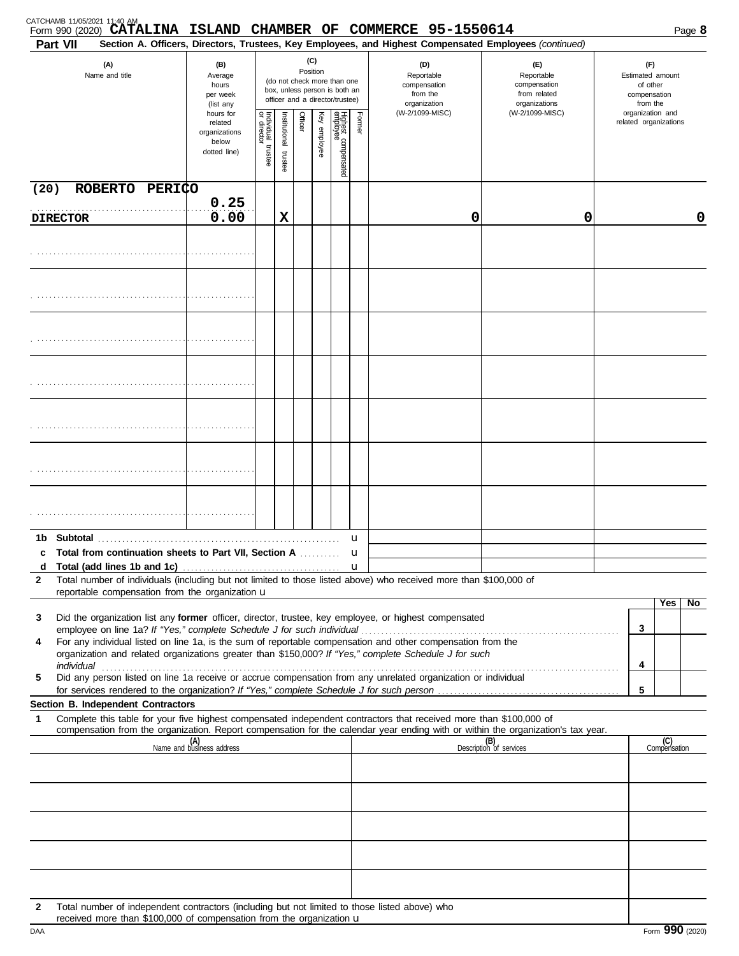|              | CATCHAMB 11/05/2021 11:40 AM<br>Form 990 (2020) <b>CATALINA</b><br>Part VII                                                                                                                                                                                                                                                                     |                                                                |                                   |                      |          |              |                                                                                                 |        | ISLAND CHAMBER OF COMMERCE 95-1550614<br>Section A. Officers, Directors, Trustees, Key Employees, and Highest Compensated Employees (continued) |                                                                    |   |                                                                 | Page 8 |
|--------------|-------------------------------------------------------------------------------------------------------------------------------------------------------------------------------------------------------------------------------------------------------------------------------------------------------------------------------------------------|----------------------------------------------------------------|-----------------------------------|----------------------|----------|--------------|-------------------------------------------------------------------------------------------------|--------|-------------------------------------------------------------------------------------------------------------------------------------------------|--------------------------------------------------------------------|---|-----------------------------------------------------------------|--------|
|              | (A)<br>Name and title                                                                                                                                                                                                                                                                                                                           | (B)<br>Average<br>hours<br>per week<br>(list any               |                                   |                      | Position | (C)          | (do not check more than one<br>box, unless person is both an<br>officer and a director/trustee) |        | (D)<br>Reportable<br>compensation<br>from the<br>organization                                                                                   | (E)<br>Reportable<br>compensation<br>from related<br>organizations |   | (F)<br>Estimated amount<br>of other<br>compensation<br>from the |        |
|              |                                                                                                                                                                                                                                                                                                                                                 | hours for<br>related<br>organizations<br>below<br>dotted line) | Individual trustee<br>or director | nstitutional trustee | Officer  | Key employee | Highest compensated<br>employee                                                                 | Former | (W-2/1099-MISC)                                                                                                                                 | (W-2/1099-MISC)                                                    |   | organization and<br>related organizations                       |        |
| (20)         | ROBERTO PERICO                                                                                                                                                                                                                                                                                                                                  |                                                                |                                   |                      |          |              |                                                                                                 |        |                                                                                                                                                 |                                                                    |   |                                                                 |        |
|              | <b>DIRECTOR</b>                                                                                                                                                                                                                                                                                                                                 | 0.25<br>0.00                                                   |                                   | х                    |          |              |                                                                                                 |        | 0                                                                                                                                               | 0                                                                  |   |                                                                 | 0      |
|              |                                                                                                                                                                                                                                                                                                                                                 |                                                                |                                   |                      |          |              |                                                                                                 |        |                                                                                                                                                 |                                                                    |   |                                                                 |        |
|              |                                                                                                                                                                                                                                                                                                                                                 |                                                                |                                   |                      |          |              |                                                                                                 |        |                                                                                                                                                 |                                                                    |   |                                                                 |        |
|              |                                                                                                                                                                                                                                                                                                                                                 |                                                                |                                   |                      |          |              |                                                                                                 |        |                                                                                                                                                 |                                                                    |   |                                                                 |        |
|              |                                                                                                                                                                                                                                                                                                                                                 |                                                                |                                   |                      |          |              |                                                                                                 |        |                                                                                                                                                 |                                                                    |   |                                                                 |        |
|              |                                                                                                                                                                                                                                                                                                                                                 |                                                                |                                   |                      |          |              |                                                                                                 |        |                                                                                                                                                 |                                                                    |   |                                                                 |        |
|              |                                                                                                                                                                                                                                                                                                                                                 |                                                                |                                   |                      |          |              |                                                                                                 |        |                                                                                                                                                 |                                                                    |   |                                                                 |        |
|              |                                                                                                                                                                                                                                                                                                                                                 |                                                                |                                   |                      |          |              |                                                                                                 |        |                                                                                                                                                 |                                                                    |   |                                                                 |        |
| 1b           | Subtotal                                                                                                                                                                                                                                                                                                                                        |                                                                |                                   |                      |          |              |                                                                                                 | u      |                                                                                                                                                 |                                                                    |   |                                                                 |        |
| c            | Total from continuation sheets to Part VII, Section A                                                                                                                                                                                                                                                                                           |                                                                |                                   |                      |          |              |                                                                                                 | u      |                                                                                                                                                 |                                                                    |   |                                                                 |        |
| $\mathbf{2}$ | Total number of individuals (including but not limited to those listed above) who received more than \$100,000 of                                                                                                                                                                                                                               |                                                                |                                   |                      |          |              |                                                                                                 | u      |                                                                                                                                                 |                                                                    |   |                                                                 |        |
|              | reportable compensation from the organization u                                                                                                                                                                                                                                                                                                 |                                                                |                                   |                      |          |              |                                                                                                 |        |                                                                                                                                                 |                                                                    |   | Yes                                                             | No     |
| 3            | Did the organization list any former officer, director, trustee, key employee, or highest compensated                                                                                                                                                                                                                                           |                                                                |                                   |                      |          |              |                                                                                                 |        |                                                                                                                                                 |                                                                    |   |                                                                 |        |
|              | For any individual listed on line 1a, is the sum of reportable compensation and other compensation from the                                                                                                                                                                                                                                     |                                                                |                                   |                      |          |              |                                                                                                 |        |                                                                                                                                                 |                                                                    | 3 |                                                                 |        |
| 4            | organization and related organizations greater than \$150,000? If "Yes," complete Schedule J for such                                                                                                                                                                                                                                           |                                                                |                                   |                      |          |              |                                                                                                 |        |                                                                                                                                                 |                                                                    |   |                                                                 |        |
| 5            | individual with a construction of the construction of the construction of the construction of the construction of the construction of the construction of the construction of the construction of the construction of the cons<br>Did any person listed on line 1a receive or accrue compensation from any unrelated organization or individual |                                                                |                                   |                      |          |              |                                                                                                 |        |                                                                                                                                                 |                                                                    | 4 |                                                                 |        |
|              |                                                                                                                                                                                                                                                                                                                                                 |                                                                |                                   |                      |          |              |                                                                                                 |        |                                                                                                                                                 |                                                                    | 5 |                                                                 |        |
|              | Section B. Independent Contractors                                                                                                                                                                                                                                                                                                              |                                                                |                                   |                      |          |              |                                                                                                 |        |                                                                                                                                                 |                                                                    |   |                                                                 |        |
| 1            | Complete this table for your five highest compensated independent contractors that received more than \$100,000 of<br>compensation from the organization. Report compensation for the calendar year ending with or within the organization's tax year.                                                                                          |                                                                |                                   |                      |          |              |                                                                                                 |        |                                                                                                                                                 |                                                                    |   |                                                                 |        |
|              |                                                                                                                                                                                                                                                                                                                                                 | (A)<br>Name and business address                               |                                   |                      |          |              |                                                                                                 |        |                                                                                                                                                 | (B)<br>Description of services                                     |   | (C)<br>Compensation                                             |        |
|              |                                                                                                                                                                                                                                                                                                                                                 |                                                                |                                   |                      |          |              |                                                                                                 |        |                                                                                                                                                 |                                                                    |   |                                                                 |        |
|              |                                                                                                                                                                                                                                                                                                                                                 |                                                                |                                   |                      |          |              |                                                                                                 |        |                                                                                                                                                 |                                                                    |   |                                                                 |        |
|              |                                                                                                                                                                                                                                                                                                                                                 |                                                                |                                   |                      |          |              |                                                                                                 |        |                                                                                                                                                 |                                                                    |   |                                                                 |        |
|              |                                                                                                                                                                                                                                                                                                                                                 |                                                                |                                   |                      |          |              |                                                                                                 |        |                                                                                                                                                 |                                                                    |   |                                                                 |        |
|              |                                                                                                                                                                                                                                                                                                                                                 |                                                                |                                   |                      |          |              |                                                                                                 |        |                                                                                                                                                 |                                                                    |   |                                                                 |        |
| 2            | Total number of independent contractors (including but not limited to those listed above) who<br>$0.400000 + 4.00$                                                                                                                                                                                                                              |                                                                |                                   |                      |          |              |                                                                                                 |        |                                                                                                                                                 |                                                                    |   |                                                                 |        |

|--|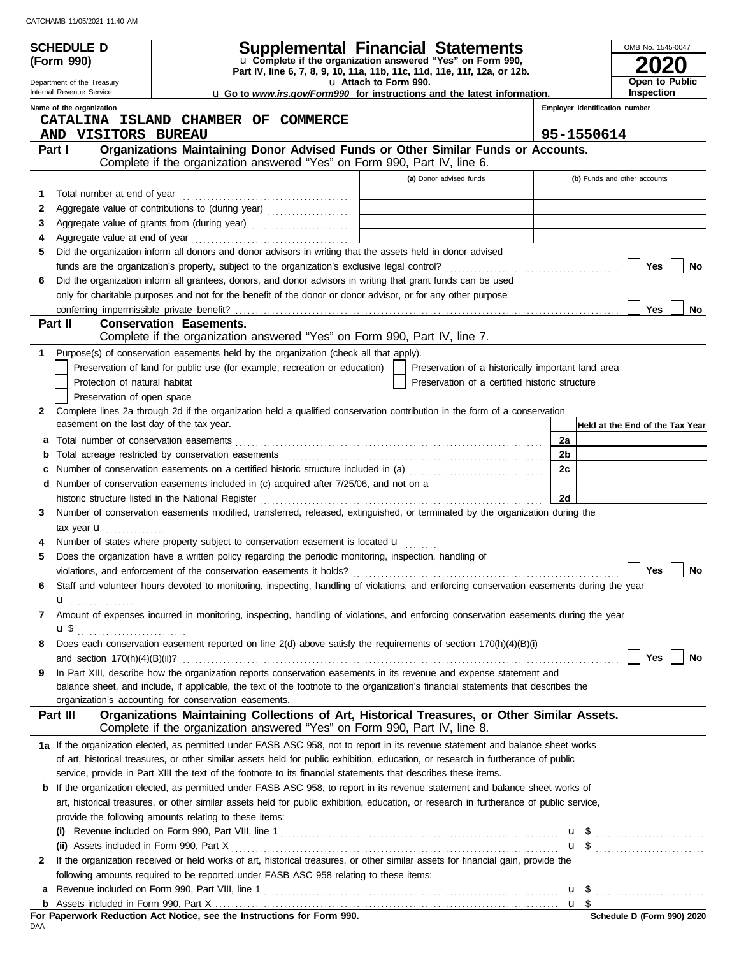|    | <b>SCHEDULE D</b>                         |                                                                                                                                                                                            |                                   | <b>Supplemental Financial Statements</b>           |    | OMB No. 1545-0047               |
|----|-------------------------------------------|--------------------------------------------------------------------------------------------------------------------------------------------------------------------------------------------|-----------------------------------|----------------------------------------------------|----|---------------------------------|
|    | (Form 990)                                | u Complete if the organization answered "Yes" on Form 990,                                                                                                                                 |                                   |                                                    |    |                                 |
|    | Department of the Treasury                | Part IV, line 6, 7, 8, 9, 10, 11a, 11b, 11c, 11d, 11e, 11f, 12a, or 12b.                                                                                                                   | u Attach to Form 990.             |                                                    |    | Open to Public                  |
|    | Internal Revenue Service                  | <b>u</b> Go to www.irs.gov/Form990 for instructions and the latest information.                                                                                                            |                                   |                                                    |    | <b>Inspection</b>               |
|    | Name of the organization                  |                                                                                                                                                                                            |                                   |                                                    |    | Employer identification number  |
|    |                                           | CATALINA ISLAND CHAMBER OF COMMERCE                                                                                                                                                        |                                   |                                                    |    |                                 |
|    | AND VISITORS BUREAU                       |                                                                                                                                                                                            |                                   |                                                    |    | 95-1550614                      |
|    | Part I                                    | Organizations Maintaining Donor Advised Funds or Other Similar Funds or Accounts.<br>Complete if the organization answered "Yes" on Form 990, Part IV, line 6.                             |                                   |                                                    |    |                                 |
|    |                                           |                                                                                                                                                                                            |                                   | (a) Donor advised funds                            |    | (b) Funds and other accounts    |
| 1  | Total number at end of year               |                                                                                                                                                                                            | and the control of the control of |                                                    |    |                                 |
| 2  |                                           | Aggregate value of contributions to (during year)                                                                                                                                          |                                   |                                                    |    |                                 |
| 3  |                                           |                                                                                                                                                                                            |                                   |                                                    |    |                                 |
| 4  |                                           |                                                                                                                                                                                            |                                   |                                                    |    |                                 |
| 5  |                                           | Did the organization inform all donors and donor advisors in writing that the assets held in donor advised                                                                                 |                                   |                                                    |    |                                 |
|    |                                           |                                                                                                                                                                                            |                                   |                                                    |    | Yes<br>No                       |
| 6  |                                           | Did the organization inform all grantees, donors, and donor advisors in writing that grant funds can be used                                                                               |                                   |                                                    |    |                                 |
|    |                                           | only for charitable purposes and not for the benefit of the donor or donor advisor, or for any other purpose                                                                               |                                   |                                                    |    |                                 |
|    | Part II                                   | <b>Conservation Easements.</b>                                                                                                                                                             |                                   |                                                    |    | <b>Yes</b><br>No                |
|    |                                           | Complete if the organization answered "Yes" on Form 990, Part IV, line 7.                                                                                                                  |                                   |                                                    |    |                                 |
| 1. |                                           | Purpose(s) of conservation easements held by the organization (check all that apply).                                                                                                      |                                   |                                                    |    |                                 |
|    |                                           | Preservation of land for public use (for example, recreation or education)                                                                                                                 |                                   | Preservation of a historically important land area |    |                                 |
|    | Protection of natural habitat             |                                                                                                                                                                                            |                                   | Preservation of a certified historic structure     |    |                                 |
|    | Preservation of open space                |                                                                                                                                                                                            |                                   |                                                    |    |                                 |
| 2  |                                           | Complete lines 2a through 2d if the organization held a qualified conservation contribution in the form of a conservation                                                                  |                                   |                                                    |    |                                 |
|    | easement on the last day of the tax year. |                                                                                                                                                                                            |                                   |                                                    |    | Held at the End of the Tax Year |
| а  |                                           |                                                                                                                                                                                            |                                   |                                                    | 2a |                                 |
| b  |                                           |                                                                                                                                                                                            |                                   |                                                    | 2b |                                 |
| c  |                                           | Number of conservation easements on a certified historic structure included in (a) [[[[[[[[[[[[[[[[[[[[[[[]]]]]]]                                                                          |                                   |                                                    | 2c |                                 |
| d  |                                           | Number of conservation easements included in (c) acquired after 7/25/06, and not on a                                                                                                      |                                   |                                                    |    |                                 |
| 3  |                                           | historic structure listed in the National Register<br>Number of conservation easements modified, transferred, released, extinguished, or terminated by the organization during the         |                                   |                                                    | 2d |                                 |
|    | tax year $\mathbf u$                      |                                                                                                                                                                                            |                                   |                                                    |    |                                 |
|    |                                           | Number of states where property subject to conservation easement is located <b>u</b>                                                                                                       |                                   |                                                    |    |                                 |
| 5  |                                           | Does the organization have a written policy regarding the periodic monitoring, inspection, handling of                                                                                     |                                   |                                                    |    |                                 |
|    |                                           | violations, and enforcement of the conservation easements it holds?                                                                                                                        |                                   |                                                    |    | Yes<br><b>No</b>                |
| 6  |                                           | Staff and volunteer hours devoted to monitoring, inspecting, handling of violations, and enforcing conservation easements during the year                                                  |                                   |                                                    |    |                                 |
|    | $\mathbf{u}$                              |                                                                                                                                                                                            |                                   |                                                    |    |                                 |
| 7  |                                           | Amount of expenses incurred in monitoring, inspecting, handling of violations, and enforcing conservation easements during the year                                                        |                                   |                                                    |    |                                 |
|    | $\mathbf{u}$ \$                           |                                                                                                                                                                                            |                                   |                                                    |    |                                 |
| 8  |                                           | Does each conservation easement reported on line 2(d) above satisfy the requirements of section 170(h)(4)(B)(i)                                                                            |                                   |                                                    |    |                                 |
|    |                                           |                                                                                                                                                                                            |                                   |                                                    |    | Yes<br>No                       |
| 9  |                                           | In Part XIII, describe how the organization reports conservation easements in its revenue and expense statement and                                                                        |                                   |                                                    |    |                                 |
|    |                                           | balance sheet, and include, if applicable, the text of the footnote to the organization's financial statements that describes the<br>organization's accounting for conservation easements. |                                   |                                                    |    |                                 |
|    | Part III                                  | Organizations Maintaining Collections of Art, Historical Treasures, or Other Similar Assets.                                                                                               |                                   |                                                    |    |                                 |
|    |                                           | Complete if the organization answered "Yes" on Form 990, Part IV, line 8.                                                                                                                  |                                   |                                                    |    |                                 |
|    |                                           | 1a If the organization elected, as permitted under FASB ASC 958, not to report in its revenue statement and balance sheet works                                                            |                                   |                                                    |    |                                 |
|    |                                           | of art, historical treasures, or other similar assets held for public exhibition, education, or research in furtherance of public                                                          |                                   |                                                    |    |                                 |
|    |                                           | service, provide in Part XIII the text of the footnote to its financial statements that describes these items.                                                                             |                                   |                                                    |    |                                 |
| b  |                                           | If the organization elected, as permitted under FASB ASC 958, to report in its revenue statement and balance sheet works of                                                                |                                   |                                                    |    |                                 |
|    |                                           | art, historical treasures, or other similar assets held for public exhibition, education, or research in furtherance of public service,                                                    |                                   |                                                    |    |                                 |
|    |                                           | provide the following amounts relating to these items:                                                                                                                                     |                                   |                                                    |    |                                 |
|    |                                           |                                                                                                                                                                                            |                                   |                                                    |    | $\mathbf{u}$ \$                 |
| 2  |                                           | If the organization received or held works of art, historical treasures, or other similar assets for financial gain, provide the                                                           |                                   |                                                    |    |                                 |
|    |                                           | following amounts required to be reported under FASB ASC 958 relating to these items:                                                                                                      |                                   |                                                    |    |                                 |
|    |                                           |                                                                                                                                                                                            |                                   |                                                    |    |                                 |
|    |                                           |                                                                                                                                                                                            |                                   |                                                    |    |                                 |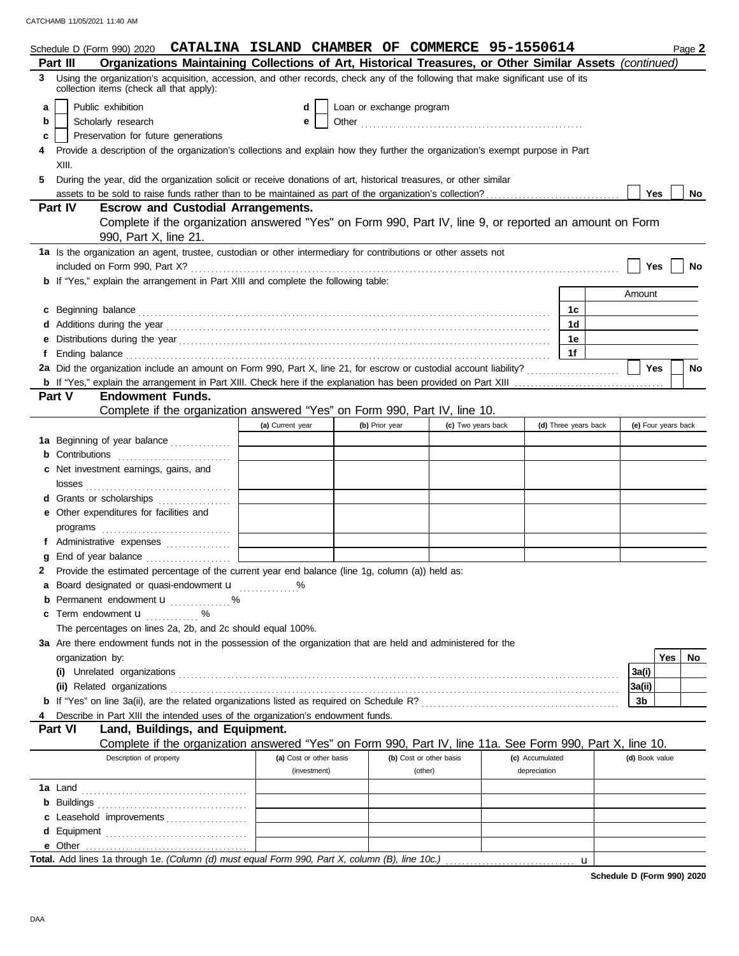|   | Schedule D (Form 990) 2020 CATALINA ISLAND CHAMBER OF COMMERCE 95-1550614                                                                                                                                                            |                         |                          |                         |                 |                      |                | Page 2              |
|---|--------------------------------------------------------------------------------------------------------------------------------------------------------------------------------------------------------------------------------------|-------------------------|--------------------------|-------------------------|-----------------|----------------------|----------------|---------------------|
|   | Organizations Maintaining Collections of Art, Historical Treasures, or Other Similar Assets (continued)<br>Part III                                                                                                                  |                         |                          |                         |                 |                      |                |                     |
| 3 | Using the organization's acquisition, accession, and other records, check any of the following that make significant use of its<br>collection items (check all that apply):                                                          |                         |                          |                         |                 |                      |                |                     |
| a | Public exhibition                                                                                                                                                                                                                    | d                       | Loan or exchange program |                         |                 |                      |                |                     |
| b | Scholarly research                                                                                                                                                                                                                   | e                       |                          |                         |                 |                      |                |                     |
| c | Preservation for future generations                                                                                                                                                                                                  |                         |                          |                         |                 |                      |                |                     |
|   | Provide a description of the organization's collections and explain how they further the organization's exempt purpose in Part<br>XIII.                                                                                              |                         |                          |                         |                 |                      |                |                     |
|   |                                                                                                                                                                                                                                      |                         |                          |                         |                 |                      |                |                     |
| 5 | During the year, did the organization solicit or receive donations of art, historical treasures, or other similar                                                                                                                    |                         |                          |                         |                 |                      | Yes            | No                  |
|   | <b>Escrow and Custodial Arrangements.</b><br><b>Part IV</b>                                                                                                                                                                          |                         |                          |                         |                 |                      |                |                     |
|   | Complete if the organization answered "Yes" on Form 990, Part IV, line 9, or reported an amount on Form<br>990, Part X, line 21.                                                                                                     |                         |                          |                         |                 |                      |                |                     |
|   | 1a Is the organization an agent, trustee, custodian or other intermediary for contributions or other assets not                                                                                                                      |                         |                          |                         |                 |                      |                |                     |
|   |                                                                                                                                                                                                                                      |                         |                          |                         |                 |                      | Yes            | No                  |
|   | b If "Yes," explain the arrangement in Part XIII and complete the following table:                                                                                                                                                   |                         |                          |                         |                 |                      |                |                     |
|   |                                                                                                                                                                                                                                      |                         |                          |                         |                 |                      | Amount         |                     |
|   | c Beginning balance <b>contract to the contract of the set of the contract of the contract of the contract of the contract of the contract of the contract of the contract of the contract of the contract of the contract of th</b> |                         |                          |                         |                 | 1с                   |                |                     |
|   |                                                                                                                                                                                                                                      |                         |                          |                         |                 | 1d                   |                |                     |
|   |                                                                                                                                                                                                                                      |                         |                          |                         |                 | 1e                   |                |                     |
| f | Ending balance <i>communical contract contract contract contract contract contract contract contract contract contract contract contract contract contract contract contract contract contract contract contract contract contra</i> |                         |                          |                         |                 | 1f                   |                |                     |
|   |                                                                                                                                                                                                                                      |                         |                          |                         |                 |                      | Yes            | <b>No</b>           |
|   |                                                                                                                                                                                                                                      |                         |                          |                         |                 |                      |                |                     |
|   | <b>Endowment Funds.</b><br><b>Part V</b>                                                                                                                                                                                             |                         |                          |                         |                 |                      |                |                     |
|   | Complete if the organization answered "Yes" on Form 990, Part IV, line 10.                                                                                                                                                           |                         |                          |                         |                 |                      |                |                     |
|   |                                                                                                                                                                                                                                      | (a) Current year        | (b) Prior year           | (c) Two years back      |                 | (d) Three years back |                | (e) Four years back |
|   | 1a Beginning of year balance                                                                                                                                                                                                         |                         |                          |                         |                 |                      |                |                     |
|   | <b>b</b> Contributions                                                                                                                                                                                                               |                         |                          |                         |                 |                      |                |                     |
|   | c Net investment earnings, gains, and                                                                                                                                                                                                |                         |                          |                         |                 |                      |                |                     |
|   |                                                                                                                                                                                                                                      |                         |                          |                         |                 |                      |                |                     |
|   | d Grants or scholarships                                                                                                                                                                                                             |                         |                          |                         |                 |                      |                |                     |
|   | e Other expenditures for facilities and                                                                                                                                                                                              |                         |                          |                         |                 |                      |                |                     |
|   |                                                                                                                                                                                                                                      |                         |                          |                         |                 |                      |                |                     |
|   | f Administrative expenses                                                                                                                                                                                                            |                         |                          |                         |                 |                      |                |                     |
|   |                                                                                                                                                                                                                                      |                         |                          |                         |                 |                      |                |                     |
|   | 2 Provide the estimated percentage of the current year end balance (line 1g, column (a)) held as:                                                                                                                                    |                         |                          |                         |                 |                      |                |                     |
|   | a Board designated or quasi-endowment u                                                                                                                                                                                              |                         |                          |                         |                 |                      |                |                     |
|   | <b>b</b> Permanent endowment <b>u</b> %                                                                                                                                                                                              |                         |                          |                         |                 |                      |                |                     |
|   | c Term endowment <b>u</b> %                                                                                                                                                                                                          |                         |                          |                         |                 |                      |                |                     |
|   | The percentages on lines 2a, 2b, and 2c should equal 100%.                                                                                                                                                                           |                         |                          |                         |                 |                      |                |                     |
|   | 3a Are there endowment funds not in the possession of the organization that are held and administered for the                                                                                                                        |                         |                          |                         |                 |                      |                |                     |
|   | organization by:                                                                                                                                                                                                                     |                         |                          |                         |                 |                      |                | Yes  <br>No.        |
|   |                                                                                                                                                                                                                                      |                         |                          |                         |                 |                      | 3a(i)          |                     |
|   | (ii) Related organizations <b>constants</b> and constant of the constant of the constant of the constant of the constant of the constant of the constant of the constant of the constant of the constant of the constant of the con  |                         |                          |                         |                 |                      | 3a(ii)         |                     |
|   |                                                                                                                                                                                                                                      |                         |                          |                         |                 |                      | 3b             |                     |
|   | Describe in Part XIII the intended uses of the organization's endowment funds.                                                                                                                                                       |                         |                          |                         |                 |                      |                |                     |
|   | Land, Buildings, and Equipment.<br>Part VI                                                                                                                                                                                           |                         |                          |                         |                 |                      |                |                     |
|   | Complete if the organization answered "Yes" on Form 990, Part IV, line 11a. See Form 990, Part X, line 10.                                                                                                                           |                         |                          |                         |                 |                      |                |                     |
|   | Description of property                                                                                                                                                                                                              | (a) Cost or other basis |                          | (b) Cost or other basis | (c) Accumulated |                      | (d) Book value |                     |
|   |                                                                                                                                                                                                                                      | (investment)            |                          | (other)                 | depreciation    |                      |                |                     |
|   |                                                                                                                                                                                                                                      |                         |                          |                         |                 |                      |                |                     |
|   |                                                                                                                                                                                                                                      |                         |                          |                         |                 |                      |                |                     |
|   | c Leasehold improvements                                                                                                                                                                                                             |                         |                          |                         |                 |                      |                |                     |
|   |                                                                                                                                                                                                                                      |                         |                          |                         |                 |                      |                |                     |
|   |                                                                                                                                                                                                                                      |                         |                          |                         |                 |                      |                |                     |
|   | Total. Add lines 1a through 1e. (Column (d) must equal Form 990, Part X, column (B), line 10c.)                                                                                                                                      |                         |                          |                         |                 | u                    |                |                     |

**Schedule D (Form 990) 2020**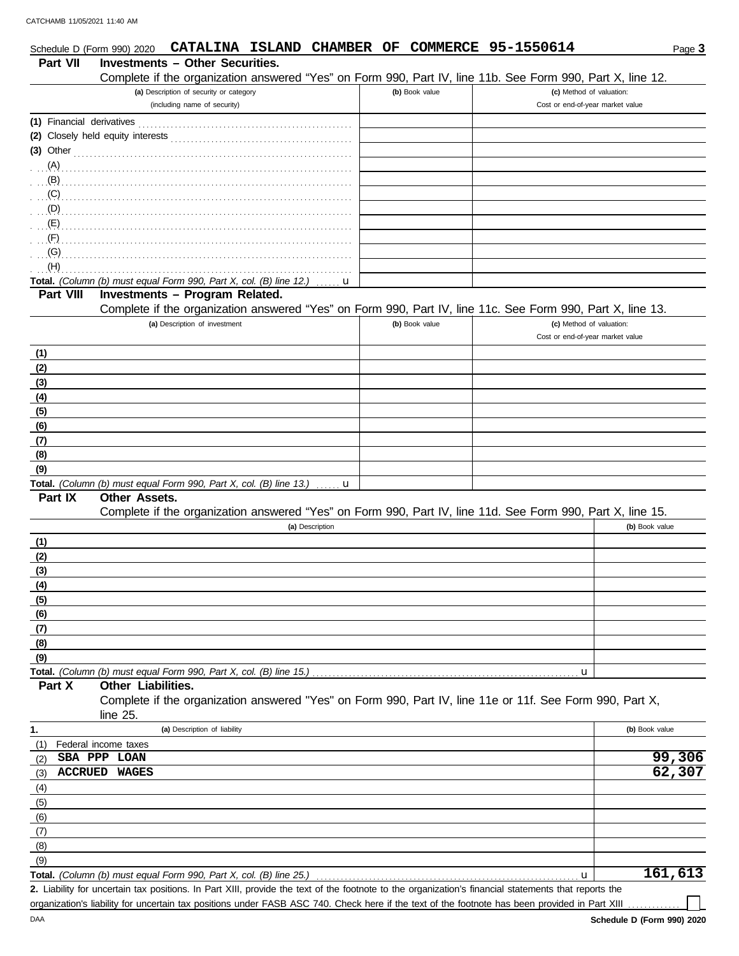|                           | Schedule D (Form 990) 2020                                                                                  | CATALINA ISLAND                                                         |                 | CHAMBER OF COMMERCE 95-1550614 |                                                                                                            |                | Page 3           |
|---------------------------|-------------------------------------------------------------------------------------------------------------|-------------------------------------------------------------------------|-----------------|--------------------------------|------------------------------------------------------------------------------------------------------------|----------------|------------------|
| Part VII                  | <b>Investments - Other Securities.</b>                                                                      |                                                                         |                 |                                |                                                                                                            |                |                  |
|                           |                                                                                                             |                                                                         |                 |                                | Complete if the organization answered "Yes" on Form 990, Part IV, line 11b. See Form 990, Part X, line 12. |                |                  |
|                           |                                                                                                             | (a) Description of security or category<br>(including name of security) |                 | (b) Book value                 | (c) Method of valuation:<br>Cost or end-of-year market value                                               |                |                  |
|                           |                                                                                                             |                                                                         |                 |                                |                                                                                                            |                |                  |
| (1) Financial derivatives |                                                                                                             |                                                                         |                 |                                |                                                                                                            |                |                  |
| $(3)$ Other               |                                                                                                             |                                                                         |                 |                                |                                                                                                            |                |                  |
| $(A)$ .                   |                                                                                                             |                                                                         |                 |                                |                                                                                                            |                |                  |
| (B)                       |                                                                                                             |                                                                         |                 |                                |                                                                                                            |                |                  |
| (C)                       |                                                                                                             |                                                                         |                 |                                |                                                                                                            |                |                  |
| (D)                       |                                                                                                             |                                                                         |                 |                                |                                                                                                            |                |                  |
| (E)                       |                                                                                                             |                                                                         |                 |                                |                                                                                                            |                |                  |
| (F)                       |                                                                                                             |                                                                         |                 |                                |                                                                                                            |                |                  |
| (G)                       |                                                                                                             |                                                                         |                 |                                |                                                                                                            |                |                  |
| (H)                       |                                                                                                             |                                                                         |                 |                                |                                                                                                            |                |                  |
| Part VIII                 | Total. (Column (b) must equal Form 990, Part X, col. (B) line 12.)<br><b>Investments - Program Related.</b> |                                                                         | u               |                                |                                                                                                            |                |                  |
|                           |                                                                                                             |                                                                         |                 |                                | Complete if the organization answered "Yes" on Form 990, Part IV, line 11c. See Form 990, Part X, line 13. |                |                  |
|                           |                                                                                                             | (a) Description of investment                                           |                 | (b) Book value                 | (c) Method of valuation:                                                                                   |                |                  |
|                           |                                                                                                             |                                                                         |                 |                                | Cost or end-of-year market value                                                                           |                |                  |
| (1)                       |                                                                                                             |                                                                         |                 |                                |                                                                                                            |                |                  |
| (2)                       |                                                                                                             |                                                                         |                 |                                |                                                                                                            |                |                  |
| (3)                       |                                                                                                             |                                                                         |                 |                                |                                                                                                            |                |                  |
| (4)                       |                                                                                                             |                                                                         |                 |                                |                                                                                                            |                |                  |
| (5)                       |                                                                                                             |                                                                         |                 |                                |                                                                                                            |                |                  |
| (6)                       |                                                                                                             |                                                                         |                 |                                |                                                                                                            |                |                  |
| (7)                       |                                                                                                             |                                                                         |                 |                                |                                                                                                            |                |                  |
| (8)                       |                                                                                                             |                                                                         |                 |                                |                                                                                                            |                |                  |
| (9)                       | Total. (Column (b) must equal Form 990, Part X, col. (B) line 13.)                                          |                                                                         | . <b>u</b>      |                                |                                                                                                            |                |                  |
| Part IX                   | <b>Other Assets.</b>                                                                                        |                                                                         |                 |                                |                                                                                                            |                |                  |
|                           |                                                                                                             |                                                                         |                 |                                | Complete if the organization answered "Yes" on Form 990, Part IV, line 11d. See Form 990, Part X, line 15. |                |                  |
|                           |                                                                                                             |                                                                         | (a) Description |                                |                                                                                                            | (b) Book value |                  |
| (1)                       |                                                                                                             |                                                                         |                 |                                |                                                                                                            |                |                  |
| (2)                       |                                                                                                             |                                                                         |                 |                                |                                                                                                            |                |                  |
| (3)                       |                                                                                                             |                                                                         |                 |                                |                                                                                                            |                |                  |
| (4)                       |                                                                                                             |                                                                         |                 |                                |                                                                                                            |                |                  |
| (5)                       |                                                                                                             |                                                                         |                 |                                |                                                                                                            |                |                  |
| (6)                       |                                                                                                             |                                                                         |                 |                                |                                                                                                            |                |                  |
| (7)                       |                                                                                                             |                                                                         |                 |                                |                                                                                                            |                |                  |
| (8)<br>(9)                |                                                                                                             |                                                                         |                 |                                |                                                                                                            |                |                  |
|                           | Total. (Column (b) must equal Form 990, Part X, col. (B) line 15.)                                          |                                                                         |                 |                                | u                                                                                                          |                |                  |
| Part X                    | Other Liabilities.                                                                                          |                                                                         |                 |                                |                                                                                                            |                |                  |
|                           |                                                                                                             |                                                                         |                 |                                | Complete if the organization answered "Yes" on Form 990, Part IV, line 11e or 11f. See Form 990, Part X,   |                |                  |
|                           | line 25.                                                                                                    |                                                                         |                 |                                |                                                                                                            |                |                  |
| 1.                        |                                                                                                             | (a) Description of liability                                            |                 |                                |                                                                                                            | (b) Book value |                  |
| (1)                       | Federal income taxes                                                                                        |                                                                         |                 |                                |                                                                                                            |                |                  |
| (2)                       | SBA PPP LOAN                                                                                                |                                                                         |                 |                                |                                                                                                            |                | 99,306<br>62,307 |
| ACCRUED<br>(3)            | WAGES                                                                                                       |                                                                         |                 |                                |                                                                                                            |                |                  |
| (4)                       |                                                                                                             |                                                                         |                 |                                |                                                                                                            |                |                  |
| (5)<br>(6)                |                                                                                                             |                                                                         |                 |                                |                                                                                                            |                |                  |
| (7)                       |                                                                                                             |                                                                         |                 |                                |                                                                                                            |                |                  |
| (8)                       |                                                                                                             |                                                                         |                 |                                |                                                                                                            |                |                  |
| (9)                       |                                                                                                             |                                                                         |                 |                                |                                                                                                            |                |                  |
|                           | Total. (Column (b) must equal Form 990, Part X, col. (B) line 25.)                                          |                                                                         |                 |                                | u                                                                                                          |                | 161, 613         |

Liability for uncertain tax positions. In Part XIII, provide the text of the footnote to the organization's financial statements that reports the **2.** organization's liability for uncertain tax positions under FASB ASC 740. Check here if the text of the footnote has been provided in Part XIII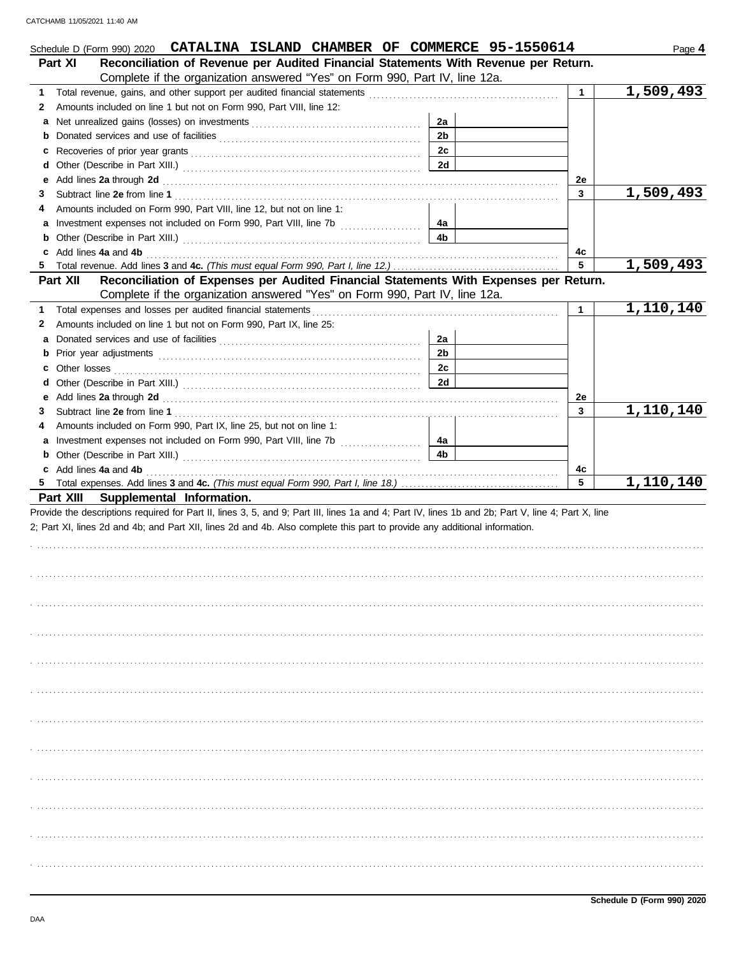| Schedule D (Form 990) 2020 CATALINA ISLAND CHAMBER OF COMMERCE 95-1550614                                                                                                                                                      |                |              | Page 4    |
|--------------------------------------------------------------------------------------------------------------------------------------------------------------------------------------------------------------------------------|----------------|--------------|-----------|
| Reconciliation of Revenue per Audited Financial Statements With Revenue per Return.<br>Part XI                                                                                                                                 |                |              |           |
| Complete if the organization answered "Yes" on Form 990, Part IV, line 12a.                                                                                                                                                    |                |              |           |
| 1                                                                                                                                                                                                                              |                | $\mathbf{1}$ | 1,509,493 |
| Amounts included on line 1 but not on Form 990, Part VIII, line 12:<br>2                                                                                                                                                       |                |              |           |
|                                                                                                                                                                                                                                | 2a             |              |           |
| b                                                                                                                                                                                                                              | 2 <sub>b</sub> |              |           |
|                                                                                                                                                                                                                                | 2c             |              |           |
| d                                                                                                                                                                                                                              | 2d             |              |           |
| Add lines 2a through 2d [11, 12] Add [12] Add lines 2a through 2d [12] Add lines 2a through 2d [12] Add lines 2a through 2d [12] Add and the set of the set of the set of the set of the set of the set of the set of the set  |                | 2e           |           |
| 3                                                                                                                                                                                                                              |                | 3            | 1,509,493 |
| Amounts included on Form 990, Part VIII, line 12, but not on line 1:                                                                                                                                                           |                |              |           |
|                                                                                                                                                                                                                                | 4а             |              |           |
|                                                                                                                                                                                                                                | 4b             |              |           |
| c Add lines 4a and 4b (a) and the contract of the state of the state of the state of the state of the state of the state of the state of the state of the state of the state of the state of the state of the state of the sta |                | 4c           |           |
|                                                                                                                                                                                                                                |                | 5            | 1,509,493 |
| Reconciliation of Expenses per Audited Financial Statements With Expenses per Return.<br>Part XII                                                                                                                              |                |              |           |
| Complete if the organization answered "Yes" on Form 990, Part IV, line 12a.                                                                                                                                                    |                |              |           |
| 1                                                                                                                                                                                                                              |                | 1            | 1,110,140 |
| Amounts included on line 1 but not on Form 990, Part IX, line 25:<br>2                                                                                                                                                         |                |              |           |
|                                                                                                                                                                                                                                | 2a             |              |           |
|                                                                                                                                                                                                                                | 2 <sub>b</sub> |              |           |
| Other losses <b>contracts Other losses contracts CO</b>                                                                                                                                                                        | 2c             |              |           |
|                                                                                                                                                                                                                                | 2d             |              |           |
|                                                                                                                                                                                                                                |                | 2e           |           |
| 3                                                                                                                                                                                                                              |                | 3            | 1,110,140 |
| Amounts included on Form 990, Part IX, line 25, but not on line 1:                                                                                                                                                             |                |              |           |
| a Investment expenses not included on Form 990, Part VIII, line 7b                                                                                                                                                             | 4a             |              |           |
|                                                                                                                                                                                                                                | 4b             |              |           |
| c Add lines 4a and 4b (a) and the contract of the contract of the contract of the contract of the contract of the contract of the contract of the contract of the contract of the contract of the contract of the contract of  |                | 4c           |           |
|                                                                                                                                                                                                                                |                | 5            | 1,110,140 |
| Part XIII Supplemental Information.                                                                                                                                                                                            |                |              |           |
| Provide the descriptions required for Part II, lines 3, 5, and 9; Part III, lines 1a and 4; Part IV, lines 1b and 2b; Part V, line 4; Part X, line                                                                             |                |              |           |
| 2; Part XI, lines 2d and 4b; and Part XII, lines 2d and 4b. Also complete this part to provide any additional information.                                                                                                     |                |              |           |
|                                                                                                                                                                                                                                |                |              |           |
|                                                                                                                                                                                                                                |                |              |           |
|                                                                                                                                                                                                                                |                |              |           |
|                                                                                                                                                                                                                                |                |              |           |
|                                                                                                                                                                                                                                |                |              |           |
|                                                                                                                                                                                                                                |                |              |           |
|                                                                                                                                                                                                                                |                |              |           |
|                                                                                                                                                                                                                                |                |              |           |
|                                                                                                                                                                                                                                |                |              |           |
|                                                                                                                                                                                                                                |                |              |           |
|                                                                                                                                                                                                                                |                |              |           |
|                                                                                                                                                                                                                                |                |              |           |
|                                                                                                                                                                                                                                |                |              |           |
|                                                                                                                                                                                                                                |                |              |           |
|                                                                                                                                                                                                                                |                |              |           |
|                                                                                                                                                                                                                                |                |              |           |
|                                                                                                                                                                                                                                |                |              |           |
|                                                                                                                                                                                                                                |                |              |           |
|                                                                                                                                                                                                                                |                |              |           |
|                                                                                                                                                                                                                                |                |              |           |
|                                                                                                                                                                                                                                |                |              |           |
|                                                                                                                                                                                                                                |                |              |           |
|                                                                                                                                                                                                                                |                |              |           |
|                                                                                                                                                                                                                                |                |              |           |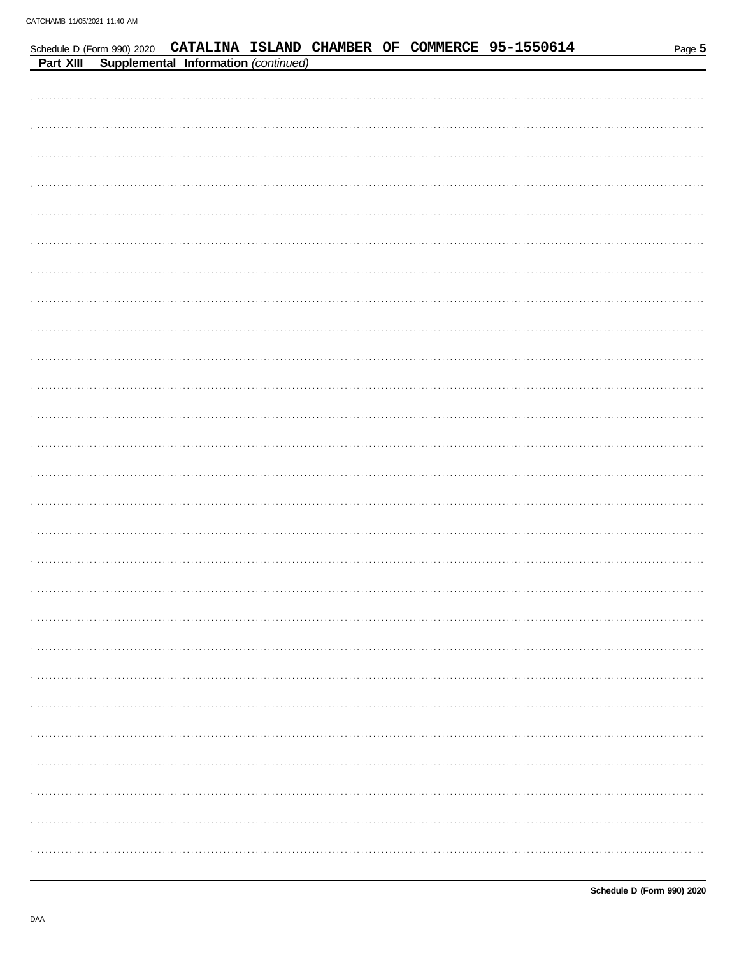| Supplemental Information (continued)<br>Part XIII |  |
|---------------------------------------------------|--|
|                                                   |  |
|                                                   |  |
|                                                   |  |
|                                                   |  |
|                                                   |  |
|                                                   |  |
|                                                   |  |
|                                                   |  |
|                                                   |  |
|                                                   |  |
|                                                   |  |
|                                                   |  |
|                                                   |  |
|                                                   |  |
|                                                   |  |
|                                                   |  |
|                                                   |  |
|                                                   |  |
|                                                   |  |
|                                                   |  |
|                                                   |  |
|                                                   |  |
|                                                   |  |
|                                                   |  |
|                                                   |  |
|                                                   |  |
|                                                   |  |
|                                                   |  |
|                                                   |  |
|                                                   |  |
|                                                   |  |
|                                                   |  |
|                                                   |  |
|                                                   |  |
|                                                   |  |
|                                                   |  |
|                                                   |  |
|                                                   |  |
|                                                   |  |
|                                                   |  |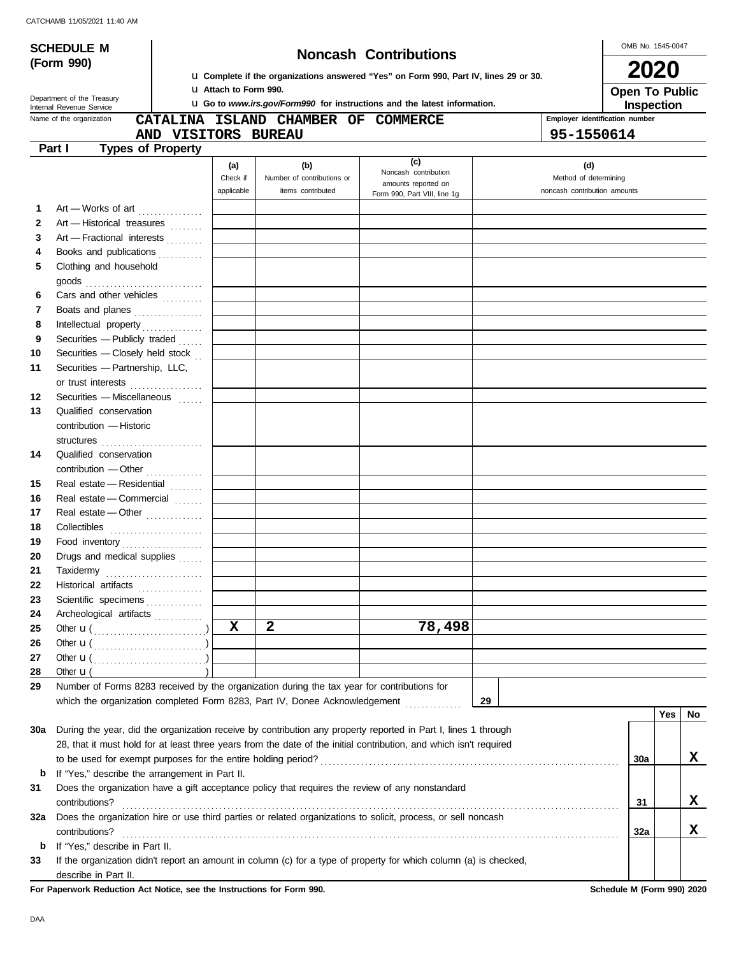|              | <b>SCHEDULE M</b>                                                                                                  |                              |                                     | <b>Noncash Contributions</b>                                                         |                              | OMB No. 1545-0047                   |     |    |
|--------------|--------------------------------------------------------------------------------------------------------------------|------------------------------|-------------------------------------|--------------------------------------------------------------------------------------|------------------------------|-------------------------------------|-----|----|
|              | (Form 990)                                                                                                         |                              |                                     | u Complete if the organizations answered "Yes" on Form 990, Part IV, lines 29 or 30. |                              | 2020                                |     |    |
|              | Department of the Treasury                                                                                         | <b>u</b> Attach to Form 990. |                                     | <b>u</b> Go to www.irs.gov/Form990 for instructions and the latest information.      |                              | <b>Open To Public</b><br>Inspection |     |    |
|              | Internal Revenue Service<br>Name of the organization                                                               |                              | CATALINA ISLAND CHAMBER OF COMMERCE |                                                                                      |                              | Employer identification number      |     |    |
|              | AND VISITORS BUREAU                                                                                                |                              |                                     |                                                                                      | 95-1550614                   |                                     |     |    |
|              | <b>Types of Property</b><br>Part I                                                                                 |                              |                                     |                                                                                      |                              |                                     |     |    |
|              |                                                                                                                    | (a)                          | (b)                                 | (c)                                                                                  | (d)                          |                                     |     |    |
|              |                                                                                                                    | Check if                     | Number of contributions or          | Noncash contribution<br>amounts reported on                                          | Method of determining        |                                     |     |    |
|              |                                                                                                                    | applicable                   | items contributed                   | Form 990, Part VIII, line 1g                                                         | noncash contribution amounts |                                     |     |    |
| 1            | Art - Works of art                                                                                                 |                              |                                     |                                                                                      |                              |                                     |     |    |
| $\mathbf{2}$ | Art - Historical treasures                                                                                         |                              |                                     |                                                                                      |                              |                                     |     |    |
| 3            | Art - Fractional interests                                                                                         |                              |                                     |                                                                                      |                              |                                     |     |    |
| 4            | Books and publications                                                                                             |                              |                                     |                                                                                      |                              |                                     |     |    |
| 5            | Clothing and household                                                                                             |                              |                                     |                                                                                      |                              |                                     |     |    |
|              | $\mathsf{goods}\xrightarrow{\hspace{0.5cm}}$                                                                       |                              |                                     |                                                                                      |                              |                                     |     |    |
| 6            | Cars and other vehicles                                                                                            |                              |                                     |                                                                                      |                              |                                     |     |    |
| 7            | Boats and planes                                                                                                   |                              |                                     |                                                                                      |                              |                                     |     |    |
| 8            | Intellectual property                                                                                              |                              |                                     |                                                                                      |                              |                                     |     |    |
| 9            | Securities - Publicly traded                                                                                       |                              |                                     |                                                                                      |                              |                                     |     |    |
| 10           | Securities - Closely held stock                                                                                    |                              |                                     |                                                                                      |                              |                                     |     |    |
| 11           | Securities - Partnership, LLC,                                                                                     |                              |                                     |                                                                                      |                              |                                     |     |    |
|              | or trust interests                                                                                                 |                              |                                     |                                                                                      |                              |                                     |     |    |
| 12           | Securities - Miscellaneous                                                                                         |                              |                                     |                                                                                      |                              |                                     |     |    |
| 13           | Qualified conservation                                                                                             |                              |                                     |                                                                                      |                              |                                     |     |    |
|              | contribution - Historic                                                                                            |                              |                                     |                                                                                      |                              |                                     |     |    |
|              |                                                                                                                    |                              |                                     |                                                                                      |                              |                                     |     |    |
| 14           | Qualified conservation                                                                                             |                              |                                     |                                                                                      |                              |                                     |     |    |
|              | contribution - Other                                                                                               |                              |                                     |                                                                                      |                              |                                     |     |    |
| 15           | Real estate - Residential                                                                                          |                              |                                     |                                                                                      |                              |                                     |     |    |
| 16           | Real estate - Commercial                                                                                           |                              |                                     |                                                                                      |                              |                                     |     |    |
| 17           | Real estate - Other                                                                                                |                              |                                     |                                                                                      |                              |                                     |     |    |
| 18           |                                                                                                                    |                              |                                     |                                                                                      |                              |                                     |     |    |
| 19           |                                                                                                                    |                              |                                     |                                                                                      |                              |                                     |     |    |
| 20           | Drugs and medical supplies                                                                                         |                              |                                     |                                                                                      |                              |                                     |     |    |
| 21           |                                                                                                                    |                              |                                     |                                                                                      |                              |                                     |     |    |
| 22           | Historical artifacts                                                                                               |                              |                                     |                                                                                      |                              |                                     |     |    |
| 23           | Scientific specimens                                                                                               |                              |                                     |                                                                                      |                              |                                     |     |    |
| 24           | Archeological artifacts                                                                                            |                              |                                     |                                                                                      |                              |                                     |     |    |
| 25           | Other $\mathbf{u}(\dots, \dots, \dots, \dots, \dots)$                                                              | $\mathbf x$                  | $\mathbf{2}$                        | 78,498                                                                               |                              |                                     |     |    |
| 26           | Other $\mathbf{u}(\dots, \dots, \dots, \dots, \dots)$                                                              |                              |                                     |                                                                                      |                              |                                     |     |    |
| 27           | Other $\mathbf{u}(\dots, \dots, \dots, \dots, \dots)$                                                              |                              |                                     |                                                                                      |                              |                                     |     |    |
| 28           | Other $\mathbf{u}$ (                                                                                               |                              |                                     |                                                                                      |                              |                                     |     |    |
| 29           | Number of Forms 8283 received by the organization during the tax year for contributions for                        |                              |                                     |                                                                                      |                              |                                     |     |    |
|              | which the organization completed Form 8283, Part IV, Donee Acknowledgement                                         |                              |                                     |                                                                                      | 29                           |                                     |     |    |
|              |                                                                                                                    |                              |                                     |                                                                                      |                              |                                     | Yes | No |
| 30a          | During the year, did the organization receive by contribution any property reported in Part I, lines 1 through     |                              |                                     |                                                                                      |                              |                                     |     |    |
|              | 28, that it must hold for at least three years from the date of the initial contribution, and which isn't required |                              |                                     |                                                                                      |                              |                                     |     |    |
|              |                                                                                                                    |                              |                                     |                                                                                      |                              | 30a                                 |     | x  |
| b            | If "Yes," describe the arrangement in Part II.                                                                     |                              |                                     |                                                                                      |                              |                                     |     |    |
| 31           | Does the organization have a gift acceptance policy that requires the review of any nonstandard                    |                              |                                     |                                                                                      |                              |                                     |     |    |
|              | contributions?                                                                                                     |                              |                                     |                                                                                      |                              | 31                                  |     | x  |
| 32a          | Does the organization hire or use third parties or related organizations to solicit, process, or sell noncash      |                              |                                     |                                                                                      |                              |                                     |     |    |
|              | contributions?                                                                                                     |                              |                                     |                                                                                      |                              | 32a                                 |     | x  |

**b** If "Yes," describe in Part II. **33** If the organization didn't report an amount in column (c) for a type of property for which column (a) is checked, describe in Part II.

**For Paperwork Reduction Act Notice, see the Instructions for Form 990. Schedule M (Form 990) 2020**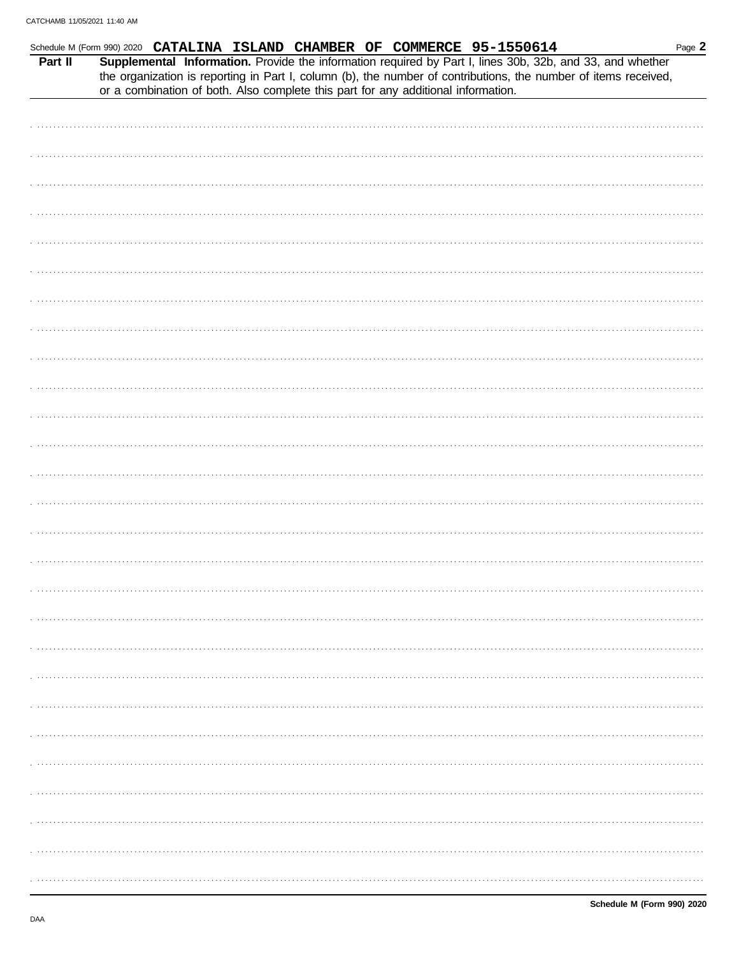| Schedule M (Form 990) 2020 CATALINA ISLAND CHAMBER OF COMMERCE 95-1550614 |  |  |  |                                                                                   |                                                                                                                                                                                                                              | Page 2 |
|---------------------------------------------------------------------------|--|--|--|-----------------------------------------------------------------------------------|------------------------------------------------------------------------------------------------------------------------------------------------------------------------------------------------------------------------------|--------|
| Part II                                                                   |  |  |  |                                                                                   | Supplemental Information. Provide the information required by Part I, lines 30b, 32b, and 33, and whether<br>the organization is reporting in Part I, column (b), the number of contributions, the number of items received, |        |
|                                                                           |  |  |  | or a combination of both. Also complete this part for any additional information. |                                                                                                                                                                                                                              |        |
|                                                                           |  |  |  |                                                                                   |                                                                                                                                                                                                                              |        |
|                                                                           |  |  |  |                                                                                   |                                                                                                                                                                                                                              |        |
|                                                                           |  |  |  |                                                                                   |                                                                                                                                                                                                                              |        |
|                                                                           |  |  |  |                                                                                   |                                                                                                                                                                                                                              |        |
|                                                                           |  |  |  |                                                                                   |                                                                                                                                                                                                                              |        |
|                                                                           |  |  |  |                                                                                   |                                                                                                                                                                                                                              |        |
|                                                                           |  |  |  |                                                                                   |                                                                                                                                                                                                                              |        |
|                                                                           |  |  |  |                                                                                   |                                                                                                                                                                                                                              |        |
|                                                                           |  |  |  |                                                                                   |                                                                                                                                                                                                                              |        |
|                                                                           |  |  |  |                                                                                   |                                                                                                                                                                                                                              |        |
|                                                                           |  |  |  |                                                                                   |                                                                                                                                                                                                                              |        |
|                                                                           |  |  |  |                                                                                   |                                                                                                                                                                                                                              |        |
|                                                                           |  |  |  |                                                                                   |                                                                                                                                                                                                                              |        |
|                                                                           |  |  |  |                                                                                   |                                                                                                                                                                                                                              |        |
|                                                                           |  |  |  |                                                                                   |                                                                                                                                                                                                                              |        |
|                                                                           |  |  |  |                                                                                   |                                                                                                                                                                                                                              |        |
|                                                                           |  |  |  |                                                                                   |                                                                                                                                                                                                                              |        |
|                                                                           |  |  |  |                                                                                   |                                                                                                                                                                                                                              |        |
|                                                                           |  |  |  |                                                                                   |                                                                                                                                                                                                                              |        |
|                                                                           |  |  |  |                                                                                   |                                                                                                                                                                                                                              |        |
|                                                                           |  |  |  |                                                                                   |                                                                                                                                                                                                                              |        |
|                                                                           |  |  |  |                                                                                   |                                                                                                                                                                                                                              |        |
|                                                                           |  |  |  |                                                                                   |                                                                                                                                                                                                                              |        |
|                                                                           |  |  |  |                                                                                   |                                                                                                                                                                                                                              |        |
|                                                                           |  |  |  |                                                                                   |                                                                                                                                                                                                                              |        |
|                                                                           |  |  |  |                                                                                   |                                                                                                                                                                                                                              |        |
|                                                                           |  |  |  |                                                                                   |                                                                                                                                                                                                                              |        |
|                                                                           |  |  |  |                                                                                   |                                                                                                                                                                                                                              |        |
|                                                                           |  |  |  |                                                                                   |                                                                                                                                                                                                                              |        |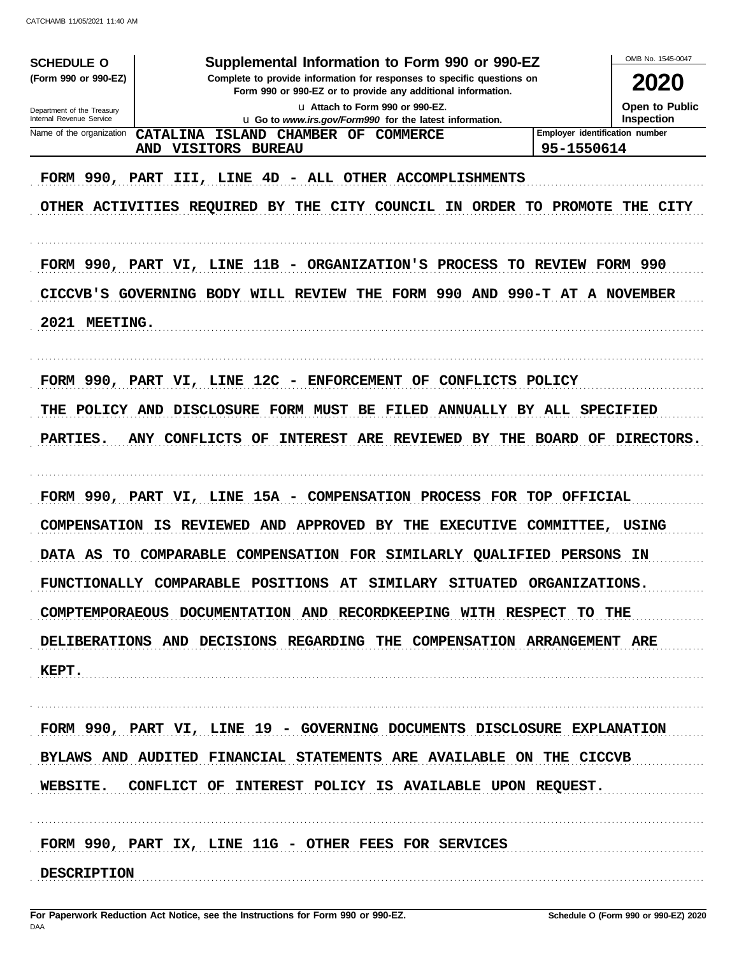| <b>SCHEDULE O</b>                                    | Supplemental Information to Form 990 or 990-EZ                                                                                                                                                                                                                                                                                                                                                          | OMB No. 1545-0047                            |
|------------------------------------------------------|---------------------------------------------------------------------------------------------------------------------------------------------------------------------------------------------------------------------------------------------------------------------------------------------------------------------------------------------------------------------------------------------------------|----------------------------------------------|
| (Form 990 or 990-EZ)                                 | Complete to provide information for responses to specific questions on                                                                                                                                                                                                                                                                                                                                  | <b>2020</b>                                  |
| Department of the Treasury                           | Form 990 or 990-EZ or to provide any additional information.<br>La Attach to Form 990 or 990-EZ.                                                                                                                                                                                                                                                                                                        | <b>Open to Public</b>                        |
| Internal Revenue Service<br>Name of the organization | u Go to www.irs.gov/Form990 for the latest information.<br><b>CATALINA</b><br>ISLAND CHAMBER OF COMMERCE                                                                                                                                                                                                                                                                                                | Inspection<br>Employer identification number |
|                                                      | <b>AND</b><br><b>VISITORS</b><br><b>BUREAU</b>                                                                                                                                                                                                                                                                                                                                                          | 95-1550614                                   |
|                                                      | FORM 990, PART III, LINE 4D - ALL OTHER ACCOMPLISHMENTS<br>OTHER ACTIVITIES REQUIRED BY<br>THE CITY COUNCIL IN ORDER                                                                                                                                                                                                                                                                                    | TO PROMOTE<br>THE CITY                       |
| 2021<br><b>MEETING.</b>                              | FORM 990, PART VI, LINE 11B - ORGANIZATION'S PROCESS<br>CICCVB'S GOVERNING BODY WILL REVIEW THE FORM 990 AND 990-T AT A NOVEMBER                                                                                                                                                                                                                                                                        | TO REVIEW FORM 990                           |
| PARTIES.                                             | FORM 990, PART VI, LINE 12C - ENFORCEMENT OF CONFLICTS POLICY<br>THE POLICY AND DISCLOSURE FORM MUST<br>BE<br>FILED ANNUALLY BY ALL SPECIFIED<br>ANY CONFLICTS OF<br>INTEREST ARE REVIEWED BY THE BOARD OF                                                                                                                                                                                              | <b>DIRECTORS.</b>                            |
| COMPENSATION<br>KEPT.                                | FORM 990, PART VI, LINE 15A - COMPENSATION PROCESS FOR TOP OFFICIAL<br>IS REVIEWED AND APPROVED BY<br>THE EXECUTIVE COMMITTEE,<br>DATA AS TO COMPARABLE COMPENSATION FOR SIMILARLY QUALIFIED<br>FUNCTIONALLY COMPARABLE POSITIONS AT SIMILARY SITUATED<br>COMPTEMPORAEOUS DOCUMENTATION AND RECORDKEEPING WITH RESPECT TO THE<br>DELIBERATIONS AND DECISIONS REGARDING THE COMPENSATION ARRANGEMENT ARE | USING<br>PERSONS<br>ΙN<br>ORGANIZATIONS.     |
|                                                      | FORM 990, PART VI, LINE 19 - GOVERNING DOCUMENTS DISCLOSURE EXPLANATION<br>BYLAWS AND AUDITED FINANCIAL STATEMENTS ARE AVAILABLE ON THE CICCVB<br>WEBSITE. CONFLICT OF INTEREST POLICY IS AVAILABLE UPON REQUEST.                                                                                                                                                                                       |                                              |
| <b>DESCRIPTION</b>                                   | FORM 990, PART IX, LINE 11G - OTHER FEES FOR SERVICES                                                                                                                                                                                                                                                                                                                                                   |                                              |